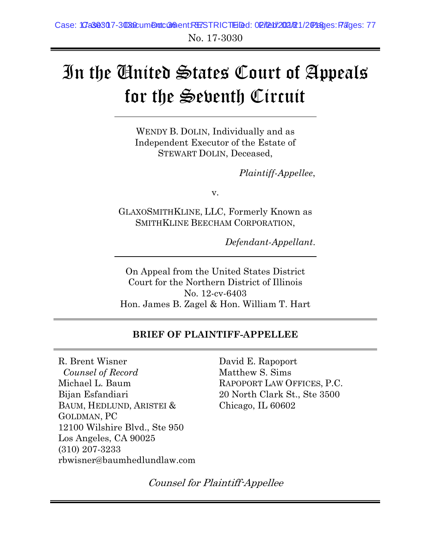# In the United States Court of Appeals for the Seventh Circuit

WENDY B. DOLIN, Individually and as Independent Executor of the Estate of STEWART DOLIN, Deceased,

*Plaintiff-Appellee*,

v.

GLAXOSMITHKLINE, LLC, Formerly Known as SMITHKLINE BEECHAM CORPORATION,

*Defendant-Appellant*.

On Appeal from the United States District Court for the Northern District of Illinois No. 12-cv-6403 Hon. James B. Zagel & Hon. William T. Hart

### **BRIEF OF PLAINTIFF-APPELLEE**

R. Brent Wisner *Counsel of Record* Michael L. Baum Bijan Esfandiari BAUM, HEDLUND, ARISTEI & GOLDMAN, PC 12100 Wilshire Blvd., Ste 950 Los Angeles, CA 90025 (310) 207-3233 rbwisner@baumhedlundlaw.com David E. Rapoport Matthew S. Sims RAPOPORT LAW OFFICES, P.C. 20 North Clark St., Ste 3500 Chicago, IL 60602

Counsel for Plaintiff-Appellee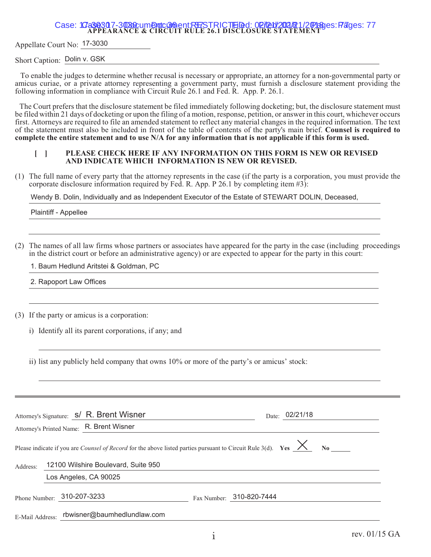Appellate Court No: 17-3030

Short Caption: Dolin v. GSK

 To enable the judges to determine whether recusal is necessary or appropriate, an attorney for a non-governmental party or amicus curiae, or a private attorney representing a government party, must furnish a disclosure statement providing the following information in compliance with Circuit Rule 26.1 and Fed. R. App. P. 26.1.

The Court prefers that the disclosure statement be filed immediately following docketing; but, the disclosure statement must be filed within 21 days of docketing or upon the filing of a motion, response, petition, or answer in this court, whichever occurs first. Attorneys are required to file an amended statement to reflect any material changes in the required information. The text of the statement must also be included in front of the table of contents of the party's main brief. **Counsel is required to complete the entire statement and to use N/A for any information that is not applicable if this form is used.**

#### **[ ] PLEASE CHECK HERE IF ANY INFORMATION ON THIS FORM IS NEW OR REVISED AND INDICATE WHICH INFORMATION IS NEW OR REVISED.**

(1) The full name of every party that the attorney represents in the case (if the party is a corporation, you must provide the corporate disclosure information required by Fed. R. App. P 26.1 by completing item #3):

Wendy B. Dolin, Individually and as Independent Executor of the Estate of STEWART DOLIN, Deceased,

Plaintiff - Appellee

(2) The names of all law firms whose partners or associates have appeared for the party in the case (including proceedings in the district court or before an administrative agency) or are expected to appear for the party in this court:

1. Baum Hedlund Aritstei & Goldman, PC

2. Rapoport Law Offices

(3) If the party or amicus is a corporation:

i) Identify all its parent corporations, if any; and

|                 | Attorney's Signature: S/ R. Brent Wisner                                                                                                                                                            | Date: 02/21/18           |
|-----------------|-----------------------------------------------------------------------------------------------------------------------------------------------------------------------------------------------------|--------------------------|
|                 | Attorney's Printed Name: R. Brent Wisner                                                                                                                                                            |                          |
|                 | Please indicate if you are <i>Counsel of Record</i> for the above listed parties pursuant to Circuit Rule 3(d). Yes $\frac{\times}{\times}$ No $_{\text{-}}$<br>12100 Wilshire Boulevard, Suite 950 |                          |
| Address:        |                                                                                                                                                                                                     |                          |
|                 | Los Angeles, CA 90025                                                                                                                                                                               |                          |
|                 | Phone Number: 310-207-3233                                                                                                                                                                          | Fax Number: 310-820-7444 |
| E-Mail Address: | rbwisner@baumhedlundlaw.com                                                                                                                                                                         |                          |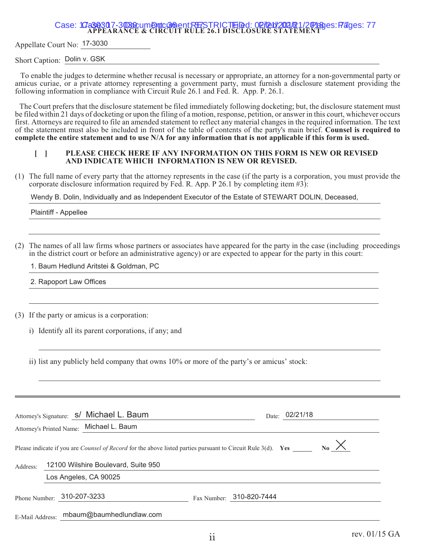Appellate Court No: 17-3030

Short Caption: Dolin v. GSK

 To enable the judges to determine whether recusal is necessary or appropriate, an attorney for a non-governmental party or amicus curiae, or a private attorney representing a government party, must furnish a disclosure statement providing the following information in compliance with Circuit Rule 26.1 and Fed. R. App. P. 26.1.

The Court prefers that the disclosure statement be filed immediately following docketing; but, the disclosure statement must be filed within 21 days of docketing or upon the filing of a motion, response, petition, or answer in this court, whichever occurs first. Attorneys are required to file an amended statement to reflect any material changes in the required information. The text of the statement must also be included in front of the table of contents of the party's main brief. **Counsel is required to complete the entire statement and to use N/A for any information that is not applicable if this form is used.**

#### **[ ] PLEASE CHECK HERE IF ANY INFORMATION ON THIS FORM IS NEW OR REVISED AND INDICATE WHICH INFORMATION IS NEW OR REVISED.**

(1) The full name of every party that the attorney represents in the case (if the party is a corporation, you must provide the corporate disclosure information required by Fed. R. App. P 26.1 by completing item #3):

Wendy B. Dolin, Individually and as Independent Executor of the Estate of STEWART DOLIN, Deceased,

Plaintiff - Appellee

(2) The names of all law firms whose partners or associates have appeared for the party in the case (including proceedings in the district court or before an administrative agency) or are expected to appear for the party in this court:

1. Baum Hedlund Aritstei & Goldman, PC

2. Rapoport Law Offices

(3) If the party or amicus is a corporation:

i) Identify all its parent corporations, if any; and

|                 | Attorney's Signature: S/ Michael L. Baum<br>Attorney's Printed Name: Michael L. Baum                                |  | Date: 02/21/18           |                      |
|-----------------|---------------------------------------------------------------------------------------------------------------------|--|--------------------------|----------------------|
|                 | Please indicate if you are <i>Counsel of Record</i> for the above listed parties pursuant to Circuit Rule 3(d). Yes |  |                          | $_{\text{No}}\times$ |
| Address:        | 12100 Wilshire Boulevard, Suite 950                                                                                 |  |                          |                      |
|                 | Los Angeles, CA 90025                                                                                               |  |                          |                      |
|                 | Phone Number: 310-207-3233                                                                                          |  | Fax Number: 310-820-7444 |                      |
| E-Mail Address: | mbaum@baumhedlundlaw.com                                                                                            |  |                          |                      |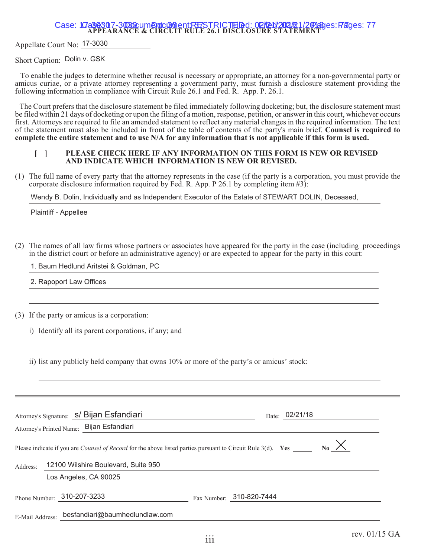Appellate Court No: 17-3030

Short Caption: Dolin v. GSK

 To enable the judges to determine whether recusal is necessary or appropriate, an attorney for a non-governmental party or amicus curiae, or a private attorney representing a government party, must furnish a disclosure statement providing the following information in compliance with Circuit Rule 26.1 and Fed. R. App. P. 26.1.

The Court prefers that the disclosure statement be filed immediately following docketing; but, the disclosure statement must be filed within 21 days of docketing or upon the filing of a motion, response, petition, or answer in this court, whichever occurs first. Attorneys are required to file an amended statement to reflect any material changes in the required information. The text of the statement must also be included in front of the table of contents of the party's main brief. **Counsel is required to complete the entire statement and to use N/A for any information that is not applicable if this form is used.**

#### **[ ] PLEASE CHECK HERE IF ANY INFORMATION ON THIS FORM IS NEW OR REVISED AND INDICATE WHICH INFORMATION IS NEW OR REVISED.**

(1) The full name of every party that the attorney represents in the case (if the party is a corporation, you must provide the corporate disclosure information required by Fed. R. App. P 26.1 by completing item #3):

Wendy B. Dolin, Individually and as Independent Executor of the Estate of STEWART DOLIN, Deceased,

Plaintiff - Appellee

(2) The names of all law firms whose partners or associates have appeared for the party in the case (including proceedings in the district court or before an administrative agency) or are expected to appear for the party in this court:

1. Baum Hedlund Aritstei & Goldman, PC

2. Rapoport Law Offices

(3) If the party or amicus is a corporation:

i) Identify all its parent corporations, if any; and

|                                                                          | Attorney's Signature: S/ Bijan Esfandiari<br>Attorney's Printed Name: Bijan Esfandiari                       |  | Date: 02/21/18           |
|--------------------------------------------------------------------------|--------------------------------------------------------------------------------------------------------------|--|--------------------------|
|                                                                          | Please indicate if you are Counsel of Record for the above listed parties pursuant to Circuit Rule 3(d). Yes |  | $_{\text{No}}\times$     |
| 12100 Wilshire Boulevard, Suite 950<br>Address:<br>Los Angeles, CA 90025 |                                                                                                              |  |                          |
|                                                                          | Phone Number: 310-207-3233                                                                                   |  | Fax Number: 310-820-7444 |
| E-Mail Address:                                                          | besfandiari@baumhedlundlaw.com                                                                               |  |                          |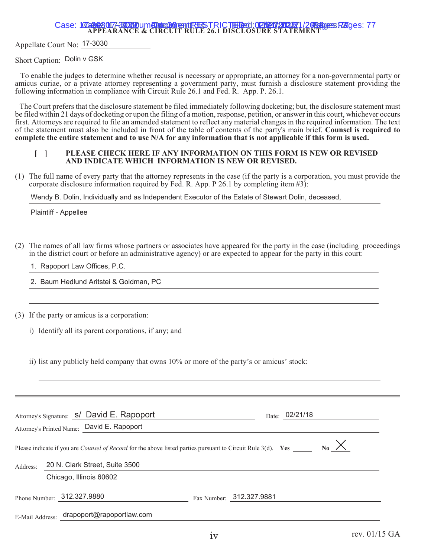# Case: 102302017-310310um EDmm36nentE3ESTRICTEiDed: 02102012001771/20Pages FZIges: 77<br>APPEARANCE & CIRCUIT RULE 26.1 DISCLOSURE STATEMENT

Appellate Court No: 17-3030

Short Caption: Dolin v GSK

 To enable the judges to determine whether recusal is necessary or appropriate, an attorney for a non-governmental party or amicus curiae, or a private attorney representing a government party, must furnish a disclosure statement providing the following information in compliance with Circuit Rule 26.1 and Fed. R. App. P. 26.1.

The Court prefers that the disclosure statement be filed immediately following docketing; but, the disclosure statement must be filed within 21 days of docketing or upon the filing of a motion, response, petition, or answer in this court, whichever occurs first. Attorneys are required to file an amended statement to reflect any material changes in the required information. The text of the statement must also be included in front of the table of contents of the party's main brief. **Counsel is required to complete the entire statement and to use N/A for any information that is not applicable if this form is used.**

#### **[ ] PLEASE CHECK HERE IF ANY INFORMATION ON THIS FORM IS NEW OR REVISED AND INDICATE WHICH INFORMATION IS NEW OR REVISED.**

(1) The full name of every party that the attorney represents in the case (if the party is a corporation, you must provide the corporate disclosure information required by Fed. R. App. P 26.1 by completing item #3):

Wendy B. Dolin, Individually and as Independent Executor of the Estate of Stewart Dolin, deceased,

Plaintiff - Appellee

(2) The names of all law firms whose partners or associates have appeared for the party in the case (including proceedings in the district court or before an administrative agency) or are expected to appear for the party in this court:

1. Rapoport Law Offices, P.C.

2. Baum Hedlund Aritstei & Goldman, PC

(3) If the party or amicus is a corporation:

i) Identify all its parent corporations, if any; and

|                            |  | Attorney's Signature: S/ David E. Rapoport<br>Attorney's Printed Name: David E. Rapoport                            |                          | Date: 02/21/18 |                      |
|----------------------------|--|---------------------------------------------------------------------------------------------------------------------|--------------------------|----------------|----------------------|
|                            |  | Please indicate if you are <i>Counsel of Record</i> for the above listed parties pursuant to Circuit Rule 3(d). Yes |                          |                | $_{\text{No}}\times$ |
| Address:                   |  | 20 N. Clark Street, Suite 3500                                                                                      |                          |                |                      |
|                            |  | Chicago, Illinois 60602                                                                                             |                          |                |                      |
| Phone Number: 312.327.9880 |  |                                                                                                                     | Fax Number: 312.327.9881 |                |                      |
| E-Mail Address:            |  | drapoport@rapoportlaw.com                                                                                           |                          |                |                      |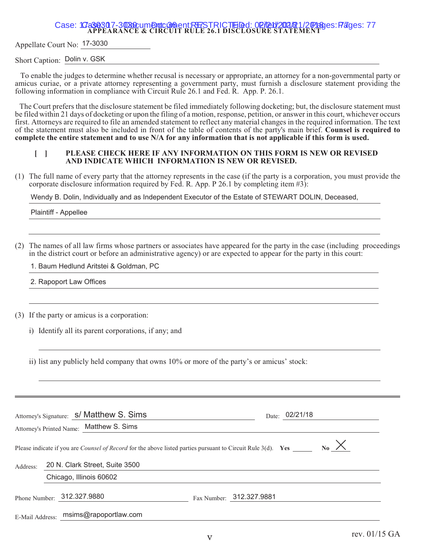Appellate Court No: 17-3030

Short Caption: Dolin v. GSK

 To enable the judges to determine whether recusal is necessary or appropriate, an attorney for a non-governmental party or amicus curiae, or a private attorney representing a government party, must furnish a disclosure statement providing the following information in compliance with Circuit Rule 26.1 and Fed. R. App. P. 26.1.

The Court prefers that the disclosure statement be filed immediately following docketing; but, the disclosure statement must be filed within 21 days of docketing or upon the filing of a motion, response, petition, or answer in this court, whichever occurs first. Attorneys are required to file an amended statement to reflect any material changes in the required information. The text of the statement must also be included in front of the table of contents of the party's main brief. **Counsel is required to complete the entire statement and to use N/A for any information that is not applicable if this form is used.**

#### **[ ] PLEASE CHECK HERE IF ANY INFORMATION ON THIS FORM IS NEW OR REVISED AND INDICATE WHICH INFORMATION IS NEW OR REVISED.**

(1) The full name of every party that the attorney represents in the case (if the party is a corporation, you must provide the corporate disclosure information required by Fed. R. App. P 26.1 by completing item #3):

Wendy B. Dolin, Individually and as Independent Executor of the Estate of STEWART DOLIN, Deceased,

Plaintiff - Appellee

(2) The names of all law firms whose partners or associates have appeared for the party in the case (including proceedings in the district court or before an administrative agency) or are expected to appear for the party in this court:

1. Baum Hedlund Aritstei & Goldman, PC

2. Rapoport Law Offices

(3) If the party or amicus is a corporation:

i) Identify all its parent corporations, if any; and

|                 | Attorney's Signature: s/ Matthew S. Sims<br>Attorney's Printed Name: Matthew S. Sims                                |                          | Date: 02/21/18 |                      |
|-----------------|---------------------------------------------------------------------------------------------------------------------|--------------------------|----------------|----------------------|
|                 | Please indicate if you are <i>Counsel of Record</i> for the above listed parties pursuant to Circuit Rule 3(d). Yes |                          |                | $_{\text{No}}\times$ |
| Address:        | 20 N. Clark Street, Suite 3500                                                                                      |                          |                |                      |
|                 | Chicago, Illinois 60602                                                                                             |                          |                |                      |
|                 | Phone Number: 312.327.9880                                                                                          | Fax Number: 312.327.9881 |                |                      |
| E-Mail Address: | msims@rapoportlaw.com                                                                                               |                          |                |                      |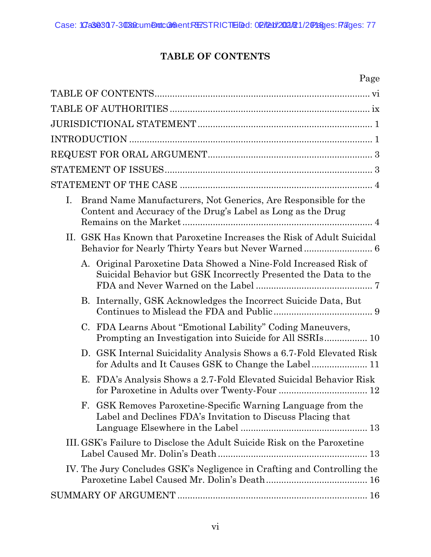### **TABLE OF CONTENTS**

### Page

<span id="page-6-0"></span>

| Ι.<br>Brand Name Manufacturers, Not Generics, Are Responsible for the<br>Content and Accuracy of the Drug's Label as Long as the Drug |  |
|---------------------------------------------------------------------------------------------------------------------------------------|--|
| II. GSK Has Known that Paroxetine Increases the Risk of Adult Suicidal<br>Behavior for Nearly Thirty Years but Never Warned 6         |  |
| A. Original Paroxetine Data Showed a Nine-Fold Increased Risk of<br>Suicidal Behavior but GSK Incorrectly Presented the Data to the   |  |
| B. Internally, GSK Acknowledges the Incorrect Suicide Data, But                                                                       |  |
| C. FDA Learns About "Emotional Lability" Coding Maneuvers,                                                                            |  |
| D. GSK Internal Suicidality Analysis Shows a 6.7-Fold Elevated Risk                                                                   |  |
| E. FDA's Analysis Shows a 2.7-Fold Elevated Suicidal Behavior Risk                                                                    |  |
| GSK Removes Paroxetine-Specific Warning Language from the<br>F.<br>Label and Declines FDA's Invitation to Discuss Placing that        |  |
| III. GSK's Failure to Disclose the Adult Suicide Risk on the Paroxetine                                                               |  |
| IV. The Jury Concludes GSK's Negligence in Crafting and Controlling the                                                               |  |
|                                                                                                                                       |  |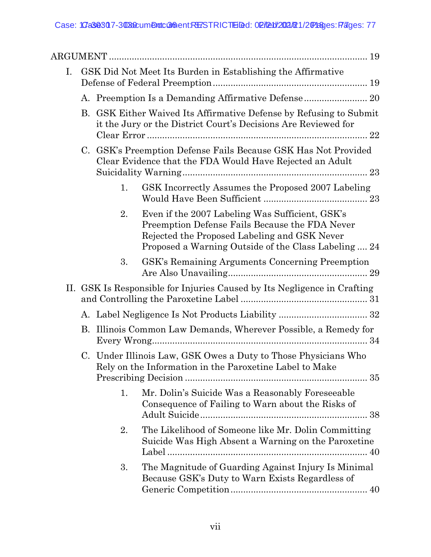| I. |           |    | GSK Did Not Meet Its Burden in Establishing the Affirmative                                                                                                                                               |
|----|-----------|----|-----------------------------------------------------------------------------------------------------------------------------------------------------------------------------------------------------------|
|    |           |    |                                                                                                                                                                                                           |
|    | <b>B.</b> |    | GSK Either Waived Its Affirmative Defense by Refusing to Submit<br>it the Jury or the District Court's Decisions Are Reviewed for<br>$\ldots 22$                                                          |
|    |           |    | C. GSK's Preemption Defense Fails Because GSK Has Not Provided<br>Clear Evidence that the FDA Would Have Rejected an Adult                                                                                |
|    |           | 1. | GSK Incorrectly Assumes the Proposed 2007 Labeling                                                                                                                                                        |
|    |           | 2. | Even if the 2007 Labeling Was Sufficient, GSK's<br>Preemption Defense Fails Because the FDA Never<br>Rejected the Proposed Labeling and GSK Never<br>Proposed a Warning Outside of the Class Labeling  24 |
|    |           | 3. | GSK's Remaining Arguments Concerning Preemption                                                                                                                                                           |
|    |           |    | II. GSK Is Responsible for Injuries Caused by Its Negligence in Crafting                                                                                                                                  |
|    |           |    |                                                                                                                                                                                                           |
|    | B.        |    | Illinois Common Law Demands, Wherever Possible, a Remedy for                                                                                                                                              |
|    |           |    | C. Under Illinois Law, GSK Owes a Duty to Those Physicians Who<br>Rely on the Information in the Paroxetine Label to Make                                                                                 |
|    |           | 1. | Mr. Dolin's Suicide Was a Reasonably Foreseeable<br>Consequence of Failing to Warn about the Risks of                                                                                                     |
|    |           | 2. | The Likelihood of Someone like Mr. Dolin Committing<br>Suicide Was High Absent a Warning on the Paroxetine<br>Label                                                                                       |
|    |           | 3. | The Magnitude of Guarding Against Injury Is Minimal<br>Because GSK's Duty to Warn Exists Regardless of                                                                                                    |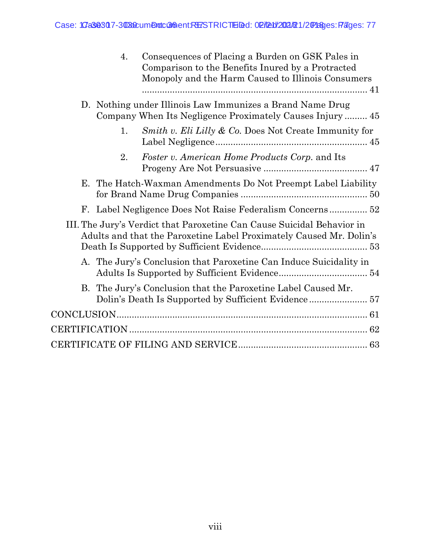|    | 4. | Consequences of Placing a Burden on GSK Pales in<br>Comparison to the Benefits Inured by a Protracted<br>Monopoly and the Harm Caused to Illinois Consumers |  |
|----|----|-------------------------------------------------------------------------------------------------------------------------------------------------------------|--|
|    |    | D. Nothing under Illinois Law Immunizes a Brand Name Drug                                                                                                   |  |
|    | 1. | <i>Smith v. Eli Lilly &amp; Co.</i> Does Not Create Immunity for                                                                                            |  |
|    | 2. | Foster v. American Home Products Corp. and Its                                                                                                              |  |
| Е. |    | The Hatch-Waxman Amendments Do Not Preempt Label Liability                                                                                                  |  |
|    |    |                                                                                                                                                             |  |
|    |    | III. The Jury's Verdict that Paroxetine Can Cause Suicidal Behavior in<br>Adults and that the Paroxetine Label Proximately Caused Mr. Dolin's               |  |
|    |    | A. The Jury's Conclusion that Paroxetine Can Induce Suicidality in                                                                                          |  |
|    |    | B. The Jury's Conclusion that the Paroxetine Label Caused Mr.                                                                                               |  |
|    |    |                                                                                                                                                             |  |
|    |    |                                                                                                                                                             |  |
|    |    |                                                                                                                                                             |  |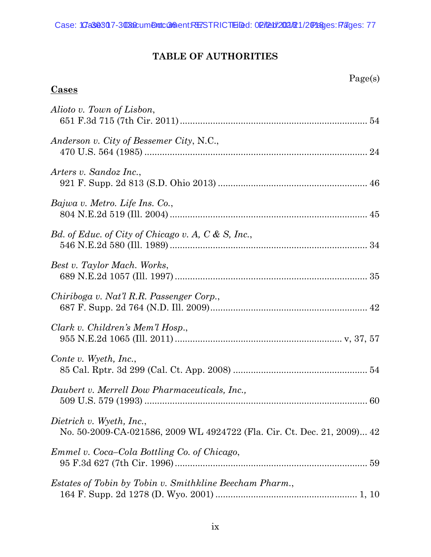### **TABLE OF AUTHORITIES**

Page(s)

<span id="page-9-0"></span>

| <u>Cases</u>                                                                                        |
|-----------------------------------------------------------------------------------------------------|
| Alioto v. Town of Lisbon,                                                                           |
| Anderson v. City of Bessemer City, N.C.,                                                            |
| Arters v. Sandoz Inc.,                                                                              |
| Bajwa v. Metro. Life Ins. Co.,                                                                      |
| Bd. of Educ. of City of Chicago v. A, C & S, Inc.,                                                  |
| Best v. Taylor Mach. Works,                                                                         |
| Chiriboga v. Nat'l R.R. Passenger Corp.,                                                            |
| Clark v. Children's Mem'l Hosp.,                                                                    |
| Conte v. Wyeth, Inc.,                                                                               |
| Daubert v. Merrell Dow Pharmaceuticals, Inc.,                                                       |
| Dietrich v. Wyeth, Inc.,<br>No. 50-2009-CA-021586, 2009 WL 4924722 (Fla. Cir. Ct. Dec. 21, 2009) 42 |
| Emmel v. Coca–Cola Bottling Co. of Chicago,                                                         |
| <i>Estates of Tobin by Tobin v. Smithkline Beecham Pharm.,</i>                                      |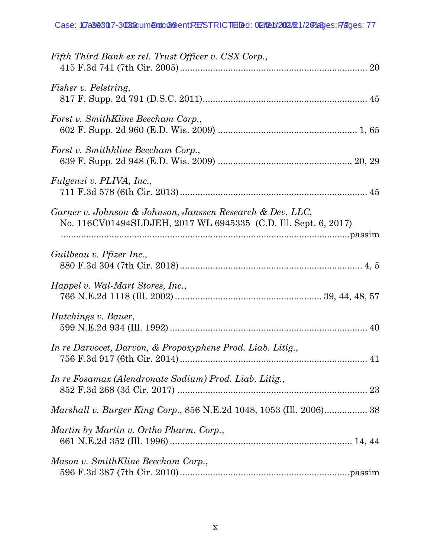| Fifth Third Bank ex rel. Trust Officer v. CSX Corp.,                                                                         |
|------------------------------------------------------------------------------------------------------------------------------|
| <i>Fisher v. Pelstring,</i>                                                                                                  |
| Forst v. SmithKline Beecham Corp.,                                                                                           |
| Forst v. Smithkline Beecham Corp.,                                                                                           |
| Fulgenzi v. PLIVA, Inc.,                                                                                                     |
| Garner v. Johnson & Johnson, Janssen Research & Dev. LLC,<br>No. 116CV01494SLDJEH, 2017 WL 6945335 (C.D. Ill. Sept. 6, 2017) |
| Guilbeau v. Pfizer Inc.,                                                                                                     |
| Happel v. Wal-Mart Stores, Inc.,                                                                                             |
| <i>Hutchings v. Bauer,</i>                                                                                                   |
| In re Darvocet, Darvon, & Propoxyphene Prod. Liab. Litig.,                                                                   |
| In re Fosamax (Alendronate Sodium) Prod. Liab. Litig.,                                                                       |
| <i>Marshall v. Burger King Corp.</i> , 856 N.E.2d 1048, 1053 (Ill. 2006) 38                                                  |
| Martin by Martin v. Ortho Pharm. Corp.,                                                                                      |
| Mason v. SmithKline Beecham Corp.,                                                                                           |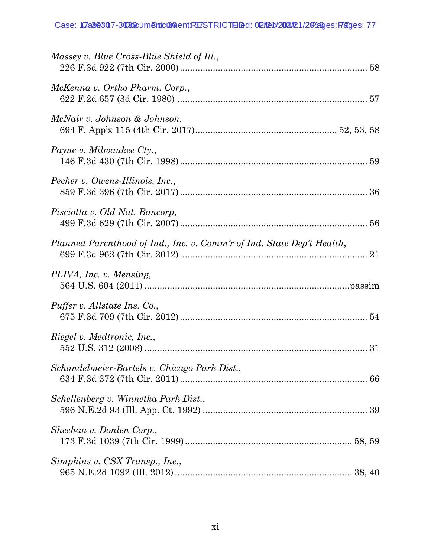| Massey v. Blue Cross-Blue Shield of Ill.,                              |  |
|------------------------------------------------------------------------|--|
| McKenna v. Ortho Pharm. Corp.,                                         |  |
| McNair v. Johnson & Johnson,                                           |  |
| Payne v. Milwaukee Cty.,                                               |  |
| Pecher v. Owens-Illinois, Inc.,                                        |  |
| Pisciotta v. Old Nat. Bancorp,                                         |  |
| Planned Parenthood of Ind., Inc. v. Comm'r of Ind. State Dep't Health, |  |
| PLIVA, Inc. v. Mensing,                                                |  |
| Puffer v. Allstate Ins. Co.,                                           |  |
| Riegel v. Medtronic, Inc.,                                             |  |
| Schandelmeier-Bartels v. Chicago Park Dist.,                           |  |
| Schellenberg v. Winnetka Park Dist.,                                   |  |
| Sheehan v. Donlen Corp.,                                               |  |
| Simpkins v. CSX Transp., Inc.,                                         |  |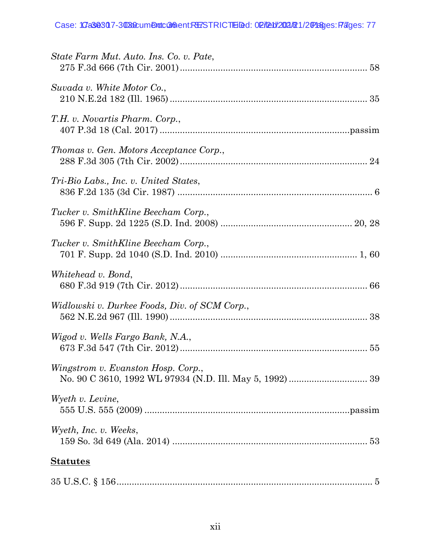| State Farm Mut. Auto. Ins. Co. v. Pate,       |
|-----------------------------------------------|
| Suvada v. White Motor Co.,                    |
| T.H. v. Novartis Pharm. Corp.,                |
| Thomas v. Gen. Motors Acceptance Corp.,       |
| Tri-Bio Labs., Inc. v. United States,         |
| Tucker v. SmithKline Beecham Corp.,           |
| Tucker v. SmithKline Beecham Corp.,           |
| Whitehead v. Bond,                            |
| Widlowski v. Durkee Foods, Div. of SCM Corp., |
| Wigod v. Wells Fargo Bank, N.A.,              |
| Wingstrom v. Evanston Hosp. Corp.,            |
| Wyeth v. Levine,                              |
| Wyeth, Inc. v. Weeks,                         |
| <b>Statutes</b>                               |
|                                               |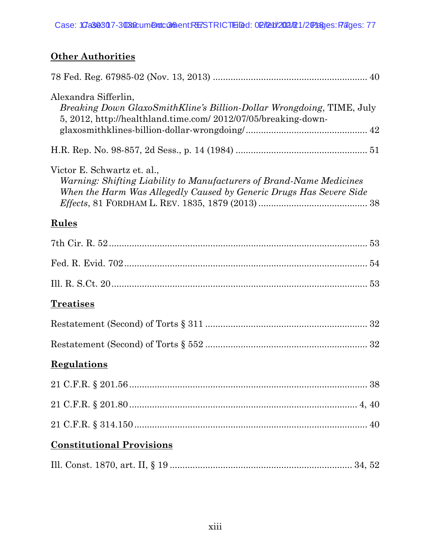## **Other Authorities**

| Alexandra Sifferlin,<br>Breaking Down GlaxoSmithKline's Billion-Dollar Wrongdoing, TIME, July<br>5, 2012, http://healthland.time.com/ 2012/07/05/breaking-down-            |    |
|----------------------------------------------------------------------------------------------------------------------------------------------------------------------------|----|
|                                                                                                                                                                            |    |
| Victor E. Schwartz et. al.,<br>Warning: Shifting Liability to Manufacturers of Brand-Name Medicines<br>When the Harm Was Allegedly Caused by Generic Drugs Has Severe Side |    |
| <b>Rules</b>                                                                                                                                                               |    |
|                                                                                                                                                                            |    |
|                                                                                                                                                                            |    |
|                                                                                                                                                                            |    |
| <b>Treatises</b>                                                                                                                                                           |    |
|                                                                                                                                                                            |    |
|                                                                                                                                                                            |    |
| <b>Regulations</b>                                                                                                                                                         |    |
|                                                                                                                                                                            | 38 |
|                                                                                                                                                                            |    |
|                                                                                                                                                                            |    |
| <b>Constitutional Provisions</b>                                                                                                                                           |    |
|                                                                                                                                                                            |    |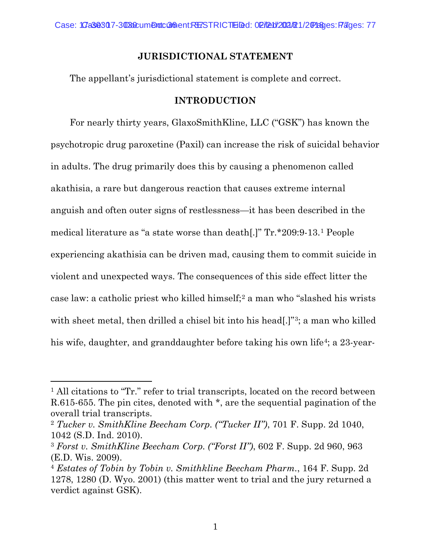#### **JURISDICTIONAL STATEMENT**

<span id="page-14-0"></span>The appellant's jurisdictional statement is complete and correct.

#### **INTRODUCTION**

<span id="page-14-1"></span>For nearly thirty years, GlaxoSmithKline, LLC ("GSK") has known the psychotropic drug paroxetine (Paxil) can increase the risk of suicidal behavior in adults. The drug primarily does this by causing a phenomenon called akathisia, a rare but dangerous reaction that causes extreme internal anguish and often outer signs of restlessness—it has been described in the medical literature as "a state worse than death[.]" Tr.\*209:9-13.[1](#page-14-2) People experiencing akathisia can be driven mad, causing them to commit suicide in violent and unexpected ways. The consequences of this side effect litter the case law: a catholic priest who killed himself;[2](#page-14-3) a man who "slashed his wrists with sheet metal, then drilled a chisel bit into his head[.]"<sup>3</sup>; a man who killed his wife, daughter, and granddaughter before taking his own life<sup>[4](#page-14-5)</sup>; a 23-year-

 $\overline{a}$ 

<span id="page-14-2"></span><sup>&</sup>lt;sup>1</sup> All citations to "Tr." refer to trial transcripts, located on the record between R.615-655. The pin cites, denoted with \*, are the sequential pagination of the overall trial transcripts.

<span id="page-14-3"></span><sup>2</sup> *Tucker v. SmithKline Beecham Corp. ("Tucker II")*, 701 F. Supp. 2d 1040, 1042 (S.D. Ind. 2010).

<span id="page-14-4"></span><sup>3</sup> *Forst v. SmithKline Beecham Corp. ("Forst II")*, 602 F. Supp. 2d 960, 963 (E.D. Wis. 2009).

<span id="page-14-5"></span><sup>4</sup> *Estates of Tobin by Tobin v. Smithkline Beecham Pharm.*, 164 F. Supp. 2d 1278, 1280 (D. Wyo. 2001) (this matter went to trial and the jury returned a verdict against GSK).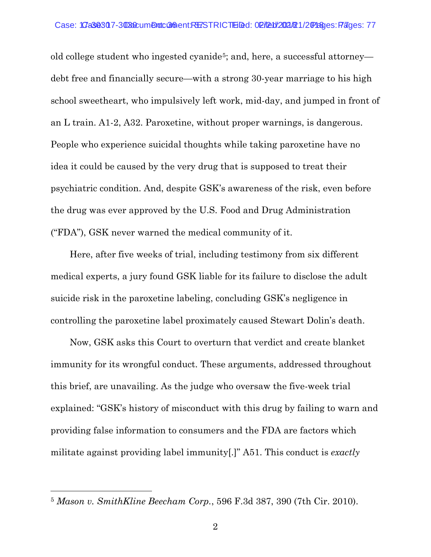old college student who ingested cyanide<sup>5</sup>; and, here, a successful attorney debt free and financially secure—with a strong 30-year marriage to his high school sweetheart, who impulsively left work, mid-day, and jumped in front of an L train. A1-2, A32. Paroxetine, without proper warnings, is dangerous. People who experience suicidal thoughts while taking paroxetine have no idea it could be caused by the very drug that is supposed to treat their psychiatric condition. And, despite GSK's awareness of the risk, even before the drug was ever approved by the U.S. Food and Drug Administration ("FDA"), GSK never warned the medical community of it.

Here, after five weeks of trial, including testimony from six different medical experts, a jury found GSK liable for its failure to disclose the adult suicide risk in the paroxetine labeling, concluding GSK's negligence in controlling the paroxetine label proximately caused Stewart Dolin's death.

Now, GSK asks this Court to overturn that verdict and create blanket immunity for its wrongful conduct. These arguments, addressed throughout this brief, are unavailing. As the judge who oversaw the five-week trial explained: "GSK's history of misconduct with this drug by failing to warn and providing false information to consumers and the FDA are factors which militate against providing label immunity[.]" A51. This conduct is *exactly*

l

<span id="page-15-0"></span><sup>5</sup> *Mason v. SmithKline Beecham Corp.*, 596 F.3d 387, 390 (7th Cir. 2010).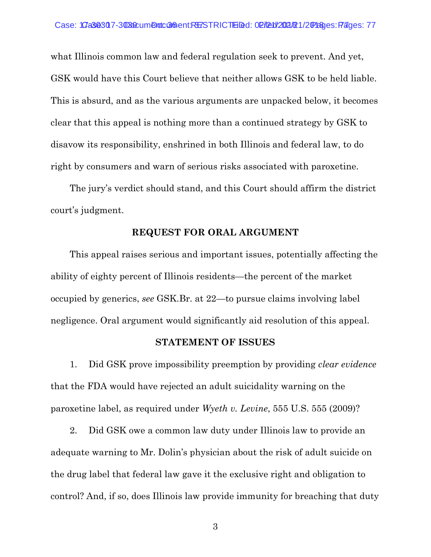what Illinois common law and federal regulation seek to prevent. And yet, GSK would have this Court believe that neither allows GSK to be held liable. This is absurd, and as the various arguments are unpacked below, it becomes clear that this appeal is nothing more than a continued strategy by GSK to disavow its responsibility, enshrined in both Illinois and federal law, to do right by consumers and warn of serious risks associated with paroxetine.

The jury's verdict should stand, and this Court should affirm the district court's judgment.

#### **REQUEST FOR ORAL ARGUMENT**

<span id="page-16-0"></span>This appeal raises serious and important issues, potentially affecting the ability of eighty percent of Illinois residents—the percent of the market occupied by generics, *see* GSK.Br. at 22—to pursue claims involving label negligence. Oral argument would significantly aid resolution of this appeal.

#### **STATEMENT OF ISSUES**

<span id="page-16-1"></span>1. Did GSK prove impossibility preemption by providing *clear evidence* that the FDA would have rejected an adult suicidality warning on the paroxetine label, as required under *Wyeth v. Levine*, 555 U.S. 555 (2009)?

2. Did GSK owe a common law duty under Illinois law to provide an adequate warning to Mr. Dolin's physician about the risk of adult suicide on the drug label that federal law gave it the exclusive right and obligation to control? And, if so, does Illinois law provide immunity for breaching that duty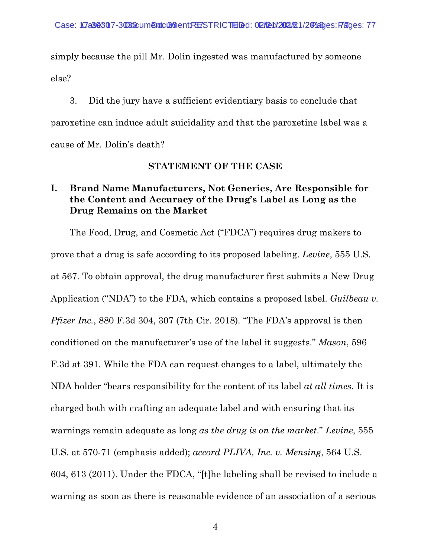simply because the pill Mr. Dolin ingested was manufactured by someone else?

3. Did the jury have a sufficient evidentiary basis to conclude that paroxetine can induce adult suicidality and that the paroxetine label was a cause of Mr. Dolin's death?

#### **STATEMENT OF THE CASE**

### <span id="page-17-1"></span><span id="page-17-0"></span>**I. Brand Name Manufacturers, Not Generics, Are Responsible for the Content and Accuracy of the Drug's Label as Long as the Drug Remains on the Market**

The Food, Drug, and Cosmetic Act ("FDCA") requires drug makers to prove that a drug is safe according to its proposed labeling. *Levine*, 555 U.S. at 567. To obtain approval, the drug manufacturer first submits a New Drug Application ("NDA") to the FDA, which contains a proposed label. *Guilbeau v. Pfizer Inc.*, 880 F.3d 304, 307 (7th Cir. 2018)*.* "The FDA's approval is then conditioned on the manufacturer's use of the label it suggests." *Mason*, 596 F.3d at 391. While the FDA can request changes to a label, ultimately the NDA holder "bears responsibility for the content of its label *at all times*. It is charged both with crafting an adequate label and with ensuring that its warnings remain adequate as long *as the drug is on the market*." *Levine*, 555 U.S. at 570-71 (emphasis added); *accord PLIVA, Inc. v. Mensing*, 564 U.S. 604, 613 (2011). Under the FDCA, "[t]he labeling shall be revised to include a warning as soon as there is reasonable evidence of an association of a serious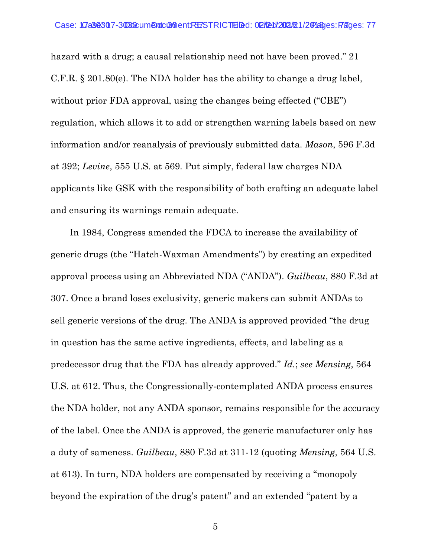hazard with a drug; a causal relationship need not have been proved." 21 C.F.R. § 201.80(e). The NDA holder has the ability to change a drug label, without prior FDA approval, using the changes being effected ("CBE") regulation, which allows it to add or strengthen warning labels based on new information and/or reanalysis of previously submitted data. *Mason*, 596 F.3d at 392; *Levine*, 555 U.S. at 569. Put simply, federal law charges NDA applicants like GSK with the responsibility of both crafting an adequate label and ensuring its warnings remain adequate.

In 1984, Congress amended the FDCA to increase the availability of generic drugs (the "Hatch-Waxman Amendments") by creating an expedited approval process using an Abbreviated NDA ("ANDA"). *Guilbeau*, 880 F.3d at 307. Once a brand loses exclusivity, generic makers can submit ANDAs to sell generic versions of the drug. The ANDA is approved provided "the drug in question has the same active ingredients, effects, and labeling as a predecessor drug that the FDA has already approved." *Id.*; *see Mensing*, 564 U.S. at 612. Thus, the Congressionally-contemplated ANDA process ensures the NDA holder, not any ANDA sponsor, remains responsible for the accuracy of the label. Once the ANDA is approved, the generic manufacturer only has a duty of sameness. *Guilbeau*, 880 F.3d at 311-12 (quoting *Mensing*, 564 U.S. at 613). In turn, NDA holders are compensated by receiving a "monopoly beyond the expiration of the drug's patent" and an extended "patent by a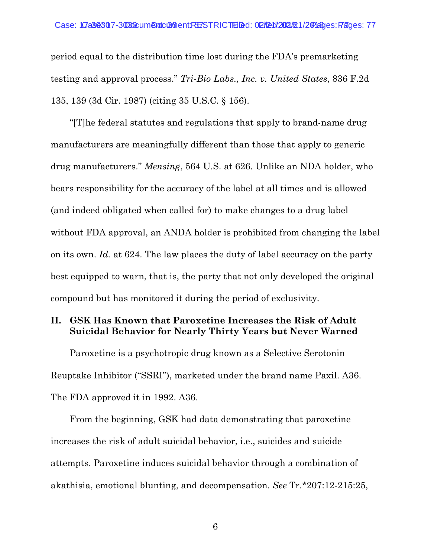period equal to the distribution time lost during the FDA's premarketing testing and approval process." *Tri-Bio Labs., Inc. v. United States*, 836 F.2d 135, 139 (3d Cir. 1987) (citing 35 U.S.C. § 156).

"[T]he federal statutes and regulations that apply to brand-name drug manufacturers are meaningfully different than those that apply to generic drug manufacturers." *Mensing*, 564 U.S. at 626. Unlike an NDA holder, who bears responsibility for the accuracy of the label at all times and is allowed (and indeed obligated when called for) to make changes to a drug label without FDA approval, an ANDA holder is prohibited from changing the label on its own. *Id.* at 624. The law places the duty of label accuracy on the party best equipped to warn, that is, the party that not only developed the original compound but has monitored it during the period of exclusivity.

#### <span id="page-19-0"></span>**II. GSK Has Known that Paroxetine Increases the Risk of Adult Suicidal Behavior for Nearly Thirty Years but Never Warned**

Paroxetine is a psychotropic drug known as a Selective Serotonin Reuptake Inhibitor ("SSRI"), marketed under the brand name Paxil. A36. The FDA approved it in 1992. A36.

From the beginning, GSK had data demonstrating that paroxetine increases the risk of adult suicidal behavior, i.e., suicides and suicide attempts. Paroxetine induces suicidal behavior through a combination of akathisia, emotional blunting, and decompensation. *See* Tr.\*207:12-215:25,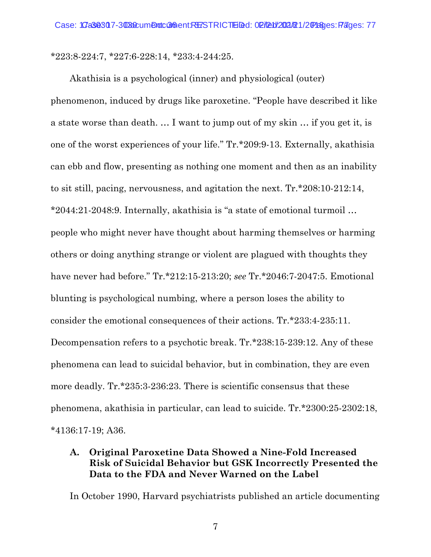\*223:8-224:7, \*227:6-228:14, \*233:4-244:25.

Akathisia is a psychological (inner) and physiological (outer) phenomenon, induced by drugs like paroxetine. "People have described it like a state worse than death. … I want to jump out of my skin … if you get it, is one of the worst experiences of your life." Tr.\*209:9-13. Externally, akathisia can ebb and flow, presenting as nothing one moment and then as an inability to sit still, pacing, nervousness, and agitation the next. Tr.\*208:10-212:14, \*2044:21-2048:9. Internally, akathisia is "a state of emotional turmoil … people who might never have thought about harming themselves or harming others or doing anything strange or violent are plagued with thoughts they have never had before." Tr.\*212:15-213:20; *see* Tr.\*2046:7-2047:5. Emotional blunting is psychological numbing, where a person loses the ability to consider the emotional consequences of their actions. Tr.\*233:4-235:11. Decompensation refers to a psychotic break. Tr.\*238:15-239:12. Any of these phenomena can lead to suicidal behavior, but in combination, they are even more deadly. Tr.\*235:3-236:23. There is scientific consensus that these phenomena, akathisia in particular, can lead to suicide. Tr.\*2300:25-2302:18, \*4136:17-19; A36.

### <span id="page-20-0"></span>**A. Original Paroxetine Data Showed a Nine-Fold Increased Risk of Suicidal Behavior but GSK Incorrectly Presented the Data to the FDA and Never Warned on the Label**

In October 1990, Harvard psychiatrists published an article documenting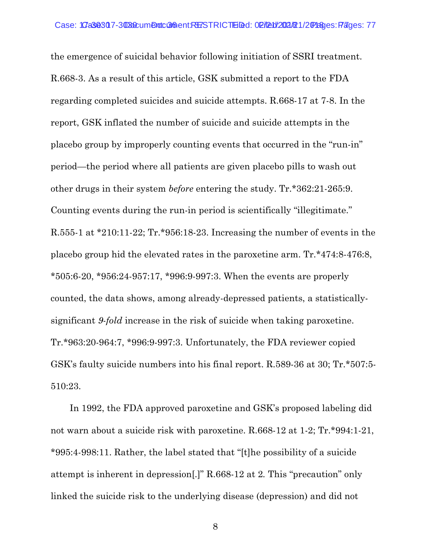the emergence of suicidal behavior following initiation of SSRI treatment. R.668-3. As a result of this article, GSK submitted a report to the FDA regarding completed suicides and suicide attempts. R.668-17 at 7-8. In the report, GSK inflated the number of suicide and suicide attempts in the placebo group by improperly counting events that occurred in the "run-in" period—the period where all patients are given placebo pills to wash out other drugs in their system *before* entering the study. Tr.\*362:21-265:9. Counting events during the run-in period is scientifically "illegitimate." R.555-1 at \*210:11-22; Tr.\*956:18-23. Increasing the number of events in the placebo group hid the elevated rates in the paroxetine arm. Tr.\*474:8-476:8, \*505:6-20, \*956:24-957:17, \*996:9-997:3. When the events are properly counted, the data shows, among already-depressed patients, a statisticallysignificant *9-fold* increase in the risk of suicide when taking paroxetine. Tr.\*963:20-964:7, \*996:9-997:3. Unfortunately, the FDA reviewer copied GSK's faulty suicide numbers into his final report. R.589-36 at 30; Tr.\*507:5- 510:23.

In 1992, the FDA approved paroxetine and GSK's proposed labeling did not warn about a suicide risk with paroxetine. R.668-12 at 1-2; Tr.\*994:1-21, \*995:4-998:11. Rather, the label stated that "[t]he possibility of a suicide attempt is inherent in depression[.]" R.668-12 at 2*.* This "precaution" only linked the suicide risk to the underlying disease (depression) and did not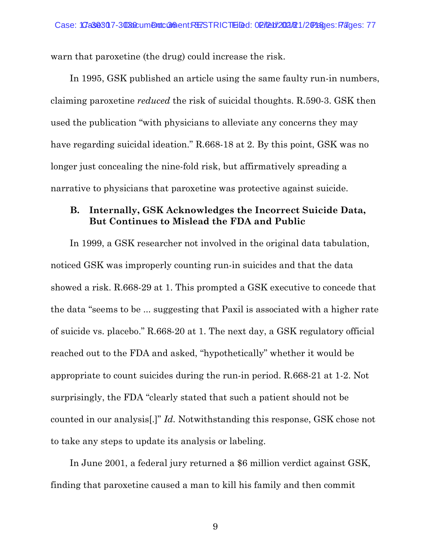warn that paroxetine (the drug) could increase the risk.

In 1995, GSK published an article using the same faulty run-in numbers, claiming paroxetine *reduced* the risk of suicidal thoughts. R.590-3. GSK then used the publication "with physicians to alleviate any concerns they may have regarding suicidal ideation." R.668-18 at 2. By this point, GSK was no longer just concealing the nine-fold risk, but affirmatively spreading a narrative to physicians that paroxetine was protective against suicide.

#### <span id="page-22-0"></span>**B. Internally, GSK Acknowledges the Incorrect Suicide Data, But Continues to Mislead the FDA and Public**

In 1999, a GSK researcher not involved in the original data tabulation, noticed GSK was improperly counting run-in suicides and that the data showed a risk. R.668-29 at 1. This prompted a GSK executive to concede that the data "seems to be ... suggesting that Paxil is associated with a higher rate of suicide vs. placebo." R.668-20 at 1. The next day, a GSK regulatory official reached out to the FDA and asked, "hypothetically" whether it would be appropriate to count suicides during the run-in period. R.668-21 at 1-2. Not surprisingly, the FDA "clearly stated that such a patient should not be counted in our analysis[.]" *Id.* Notwithstanding this response, GSK chose not to take any steps to update its analysis or labeling.

In June 2001, a federal jury returned a \$6 million verdict against GSK, finding that paroxetine caused a man to kill his family and then commit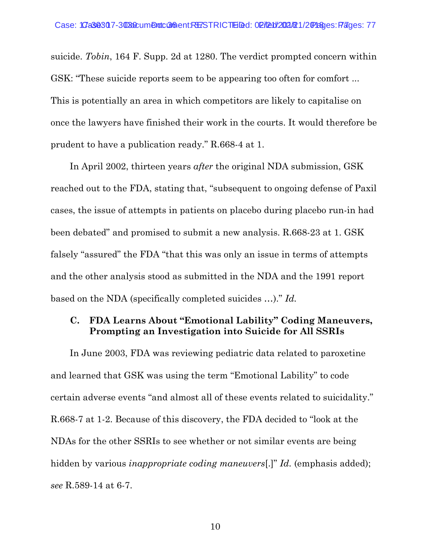suicide. *Tobin*, 164 F. Supp. 2d at 1280. The verdict prompted concern within GSK: "These suicide reports seem to be appearing too often for comfort ... This is potentially an area in which competitors are likely to capitalise on once the lawyers have finished their work in the courts. It would therefore be prudent to have a publication ready." R.668-4 at 1.

In April 2002, thirteen years *after* the original NDA submission, GSK reached out to the FDA, stating that, "subsequent to ongoing defense of Paxil cases, the issue of attempts in patients on placebo during placebo run-in had been debated" and promised to submit a new analysis. R.668-23 at 1. GSK falsely "assured" the FDA "that this was only an issue in terms of attempts and the other analysis stood as submitted in the NDA and the 1991 report based on the NDA (specifically completed suicides …)." *Id.*

#### <span id="page-23-0"></span>**C. FDA Learns About "Emotional Lability" Coding Maneuvers, Prompting an Investigation into Suicide for All SSRIs**

In June 2003, FDA was reviewing pediatric data related to paroxetine and learned that GSK was using the term "Emotional Lability" to code certain adverse events "and almost all of these events related to suicidality." R.668-7 at 1-2. Because of this discovery, the FDA decided to "look at the NDAs for the other SSRIs to see whether or not similar events are being hidden by various *inappropriate coding maneuvers*[.]" *Id.* (emphasis added); *see* R.589-14 at 6-7.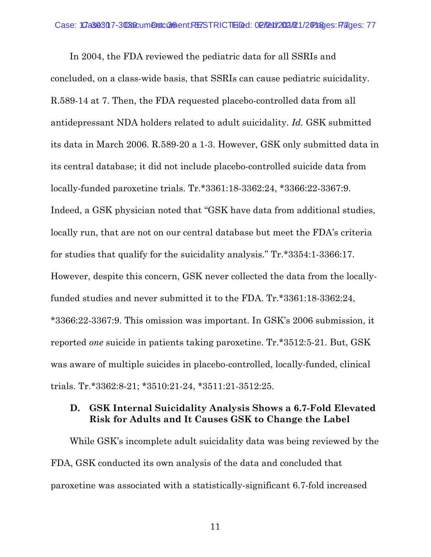In 2004, the FDA reviewed the pediatric data for all SSRIs and concluded, on a class-wide basis, that SSRIs can cause pediatric suicidality. R.589-14 at 7. Then, the FDA requested placebo-controlled data from all antidepressant NDA holders related to adult suicidality. *Id.* GSK submitted its data in March 2006. R.589-20 a 1-3. However, GSK only submitted data in its central database; it did not include placebo-controlled suicide data from locally-funded paroxetine trials. Tr.\*3361:18-3362:24, \*3366:22-3367:9. Indeed, a GSK physician noted that "GSK have data from additional studies, locally run, that are not on our central database but meet the FDA's criteria for studies that qualify for the suicidality analysis." Tr.\*3354:1-3366:17. However, despite this concern, GSK never collected the data from the locallyfunded studies and never submitted it to the FDA. Tr.\*3361:18-3362:24, \*3366:22-3367:9. This omission was important. In GSK's 2006 submission, it reported *one* suicide in patients taking paroxetine. Tr.\*3512:5-21. But, GSK was aware of multiple suicides in placebo-controlled, locally-funded, clinical trials. Tr.\*3362:8-21; \*3510:21-24, \*3511:21-3512:25.

#### <span id="page-24-0"></span>**D. GSK Internal Suicidality Analysis Shows a 6.7-Fold Elevated Risk for Adults and It Causes GSK to Change the Label**

While GSK's incomplete adult suicidality data was being reviewed by the FDA, GSK conducted its own analysis of the data and concluded that paroxetine was associated with a statistically-significant 6.7-fold increased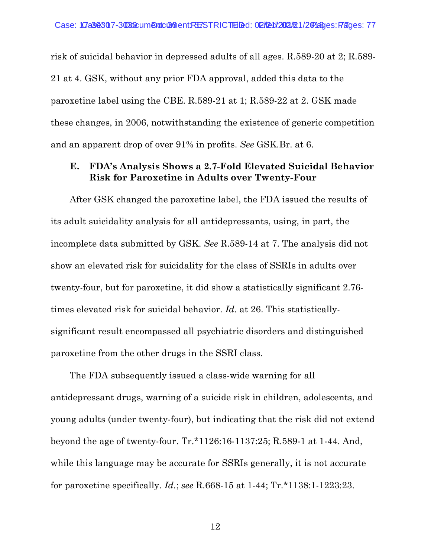risk of suicidal behavior in depressed adults of all ages. R.589-20 at 2; R.589- 21 at 4. GSK, without any prior FDA approval, added this data to the paroxetine label using the CBE. R.589-21 at 1; R.589-22 at 2. GSK made these changes, in 2006, notwithstanding the existence of generic competition and an apparent drop of over 91% in profits. *See* GSK.Br. at 6.

### <span id="page-25-0"></span>**E. FDA's Analysis Shows a 2.7-Fold Elevated Suicidal Behavior Risk for Paroxetine in Adults over Twenty-Four**

After GSK changed the paroxetine label, the FDA issued the results of its adult suicidality analysis for all antidepressants, using, in part, the incomplete data submitted by GSK. *See* R.589-14 at 7. The analysis did not show an elevated risk for suicidality for the class of SSRIs in adults over twenty-four, but for paroxetine, it did show a statistically significant 2.76 times elevated risk for suicidal behavior. *Id.* at 26. This statisticallysignificant result encompassed all psychiatric disorders and distinguished paroxetine from the other drugs in the SSRI class.

The FDA subsequently issued a class-wide warning for all antidepressant drugs, warning of a suicide risk in children, adolescents, and young adults (under twenty-four), but indicating that the risk did not extend beyond the age of twenty-four. Tr.\*1126:16-1137:25; R.589-1 at 1-44. And, while this language may be accurate for SSRIs generally, it is not accurate for paroxetine specifically. *Id.*; *see* R.668-15 at 1-44; Tr.\*1138:1-1223:23.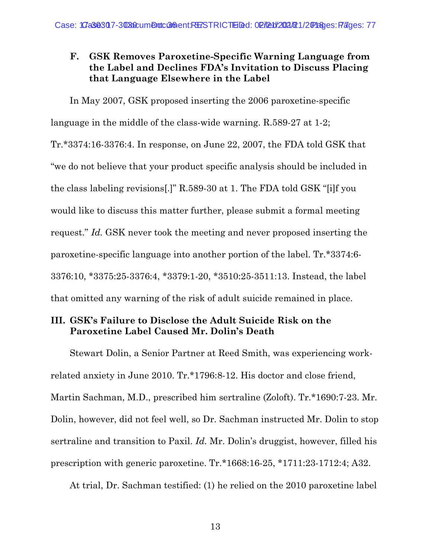### <span id="page-26-0"></span>**F. GSK Removes Paroxetine-Specific Warning Language from the Label and Declines FDA's Invitation to Discuss Placing that Language Elsewhere in the Label**

In May 2007, GSK proposed inserting the 2006 paroxetine-specific language in the middle of the class-wide warning. R.589-27 at 1-2; Tr.\*3374:16-3376:4. In response, on June 22, 2007, the FDA told GSK that "we do not believe that your product specific analysis should be included in the class labeling revisions[.]" R.589-30 at 1. The FDA told GSK "[i]f you would like to discuss this matter further, please submit a formal meeting request." *Id.* GSK never took the meeting and never proposed inserting the paroxetine-specific language into another portion of the label. Tr.\*3374:6- 3376:10, \*3375:25-3376:4, \*3379:1-20, \*3510:25-3511:13. Instead, the label that omitted any warning of the risk of adult suicide remained in place.

### <span id="page-26-1"></span>**III. GSK's Failure to Disclose the Adult Suicide Risk on the Paroxetine Label Caused Mr. Dolin's Death**

Stewart Dolin, a Senior Partner at Reed Smith, was experiencing workrelated anxiety in June 2010. Tr.\*1796:8-12. His doctor and close friend, Martin Sachman, M.D., prescribed him sertraline (Zoloft). Tr.\*1690:7-23. Mr. Dolin, however, did not feel well, so Dr. Sachman instructed Mr. Dolin to stop sertraline and transition to Paxil. *Id.* Mr. Dolin's druggist, however, filled his prescription with generic paroxetine. Tr.\*1668:16-25, \*1711:23-1712:4; A32.

At trial, Dr. Sachman testified: (1) he relied on the 2010 paroxetine label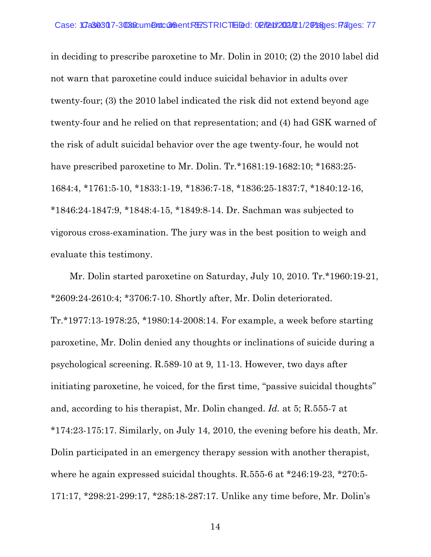in deciding to prescribe paroxetine to Mr. Dolin in 2010; (2) the 2010 label did not warn that paroxetine could induce suicidal behavior in adults over twenty-four; (3) the 2010 label indicated the risk did not extend beyond age twenty-four and he relied on that representation; and (4) had GSK warned of the risk of adult suicidal behavior over the age twenty-four, he would not have prescribed paroxetine to Mr. Dolin. Tr.\*1681:19-1682:10; \*1683:25-1684:4, \*1761:5-10, \*1833:1-19, \*1836:7-18, \*1836:25-1837:7, \*1840:12-16, \*1846:24-1847:9, \*1848:4-15, \*1849:8-14. Dr. Sachman was subjected to vigorous cross-examination. The jury was in the best position to weigh and evaluate this testimony.

Mr. Dolin started paroxetine on Saturday, July 10, 2010. Tr.\*1960:19-21, \*2609:24-2610:4; \*3706:7-10. Shortly after, Mr. Dolin deteriorated. Tr.\*1977:13-1978:25, \*1980:14-2008:14. For example, a week before starting paroxetine, Mr. Dolin denied any thoughts or inclinations of suicide during a psychological screening. R.589-10 at 9*,* 11-13. However, two days after initiating paroxetine, he voiced, for the first time, "passive suicidal thoughts" and, according to his therapist, Mr. Dolin changed. *Id.* at 5; R.555-7 at \*174:23-175:17. Similarly, on July 14, 2010, the evening before his death, Mr. Dolin participated in an emergency therapy session with another therapist, where he again expressed suicidal thoughts. R.555-6 at \*246:19-23, \*270:5-171:17, \*298:21-299:17, \*285:18-287:17. Unlike any time before, Mr. Dolin's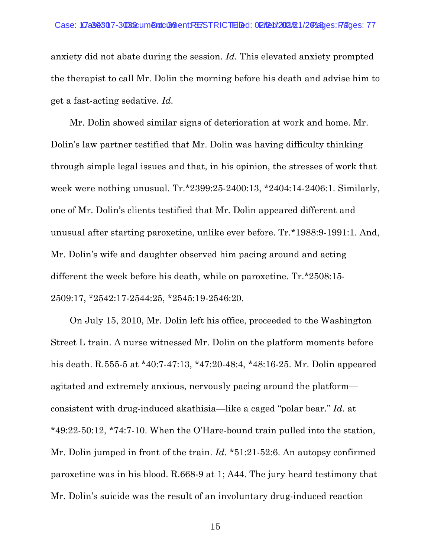anxiety did not abate during the session. *Id.* This elevated anxiety prompted the therapist to call Mr. Dolin the morning before his death and advise him to get a fast-acting sedative. *Id.*

Mr. Dolin showed similar signs of deterioration at work and home. Mr. Dolin's law partner testified that Mr. Dolin was having difficulty thinking through simple legal issues and that, in his opinion, the stresses of work that week were nothing unusual. Tr.\*2399:25-2400:13, \*2404:14-2406:1. Similarly, one of Mr. Dolin's clients testified that Mr. Dolin appeared different and unusual after starting paroxetine, unlike ever before. Tr.\*1988:9-1991:1. And, Mr. Dolin's wife and daughter observed him pacing around and acting different the week before his death, while on paroxetine. Tr.\*2508:15- 2509:17, \*2542:17-2544:25, \*2545:19-2546:20.

On July 15, 2010, Mr. Dolin left his office, proceeded to the Washington Street L train. A nurse witnessed Mr. Dolin on the platform moments before his death. R.555-5 at \*40:7-47:13, \*47:20-48:4, \*48:16-25. Mr. Dolin appeared agitated and extremely anxious, nervously pacing around the platform consistent with drug-induced akathisia—like a caged "polar bear." *Id.* at \*49:22-50:12, \*74:7-10. When the O'Hare-bound train pulled into the station, Mr. Dolin jumped in front of the train. *Id.* \*51:21-52:6. An autopsy confirmed paroxetine was in his blood. R.668-9 at 1; A44. The jury heard testimony that Mr. Dolin's suicide was the result of an involuntary drug-induced reaction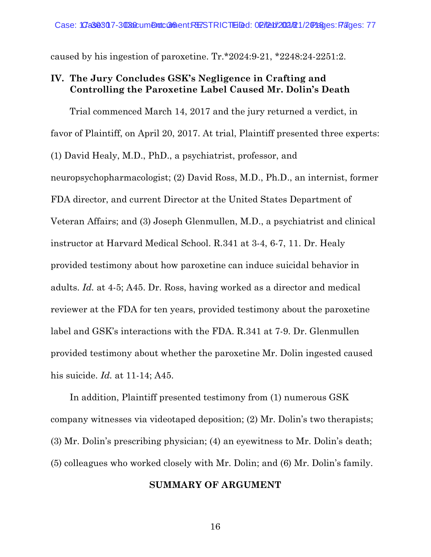caused by his ingestion of paroxetine. Tr.\*2024:9-21, \*2248:24-2251:2.

#### <span id="page-29-0"></span>**IV. The Jury Concludes GSK's Negligence in Crafting and Controlling the Paroxetine Label Caused Mr. Dolin's Death**

Trial commenced March 14, 2017 and the jury returned a verdict, in favor of Plaintiff, on April 20, 2017. At trial, Plaintiff presented three experts: (1) David Healy, M.D., PhD., a psychiatrist, professor, and neuropsychopharmacologist; (2) David Ross, M.D., Ph.D., an internist, former FDA director, and current Director at the United States Department of Veteran Affairs; and (3) Joseph Glenmullen, M.D., a psychiatrist and clinical instructor at Harvard Medical School. R.341 at 3-4, 6-7, 11. Dr. Healy provided testimony about how paroxetine can induce suicidal behavior in adults. *Id.* at 4-5; A45. Dr. Ross, having worked as a director and medical reviewer at the FDA for ten years, provided testimony about the paroxetine label and GSK's interactions with the FDA. R.341 at 7-9. Dr. Glenmullen provided testimony about whether the paroxetine Mr. Dolin ingested caused his suicide. *Id.* at 11-14; A45.

<span id="page-29-1"></span>In addition, Plaintiff presented testimony from (1) numerous GSK company witnesses via videotaped deposition; (2) Mr. Dolin's two therapists; (3) Mr. Dolin's prescribing physician; (4) an eyewitness to Mr. Dolin's death; (5) colleagues who worked closely with Mr. Dolin; and (6) Mr. Dolin's family.

#### **SUMMARY OF ARGUMENT**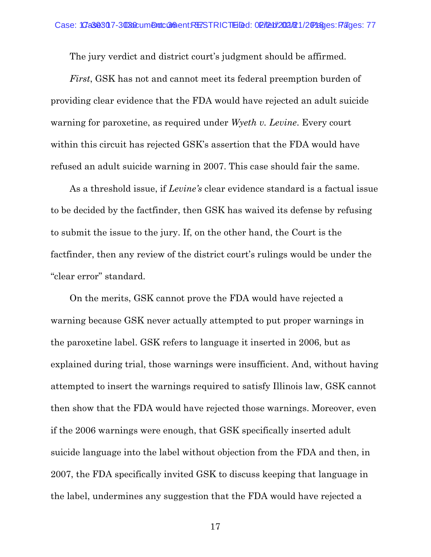The jury verdict and district court's judgment should be affirmed.

*First*, GSK has not and cannot meet its federal preemption burden of providing clear evidence that the FDA would have rejected an adult suicide warning for paroxetine, as required under *Wyeth v. Levine*. Every court within this circuit has rejected GSK's assertion that the FDA would have refused an adult suicide warning in 2007. This case should fair the same.

As a threshold issue, if *Levine's* clear evidence standard is a factual issue to be decided by the factfinder, then GSK has waived its defense by refusing to submit the issue to the jury. If, on the other hand, the Court is the factfinder, then any review of the district court's rulings would be under the "clear error" standard.

On the merits, GSK cannot prove the FDA would have rejected a warning because GSK never actually attempted to put proper warnings in the paroxetine label. GSK refers to language it inserted in 2006, but as explained during trial, those warnings were insufficient. And, without having attempted to insert the warnings required to satisfy Illinois law, GSK cannot then show that the FDA would have rejected those warnings. Moreover, even if the 2006 warnings were enough, that GSK specifically inserted adult suicide language into the label without objection from the FDA and then, in 2007, the FDA specifically invited GSK to discuss keeping that language in the label, undermines any suggestion that the FDA would have rejected a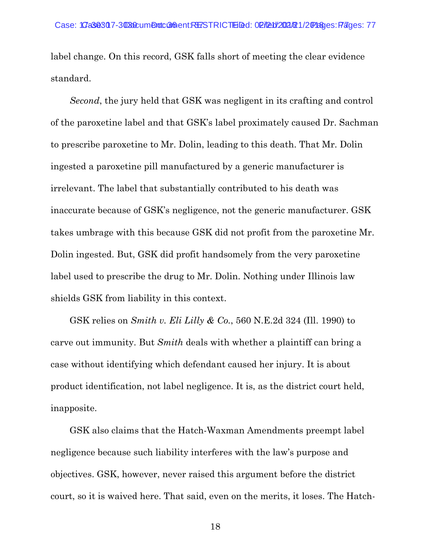label change. On this record, GSK falls short of meeting the clear evidence standard.

*Second*, the jury held that GSK was negligent in its crafting and control of the paroxetine label and that GSK's label proximately caused Dr. Sachman to prescribe paroxetine to Mr. Dolin, leading to this death. That Mr. Dolin ingested a paroxetine pill manufactured by a generic manufacturer is irrelevant. The label that substantially contributed to his death was inaccurate because of GSK's negligence, not the generic manufacturer. GSK takes umbrage with this because GSK did not profit from the paroxetine Mr. Dolin ingested. But, GSK did profit handsomely from the very paroxetine label used to prescribe the drug to Mr. Dolin. Nothing under Illinois law shields GSK from liability in this context.

GSK relies on *Smith v. Eli Lilly & Co.*, 560 N.E.2d 324 (Ill. 1990) to carve out immunity. But *Smith* deals with whether a plaintiff can bring a case without identifying which defendant caused her injury. It is about product identification, not label negligence. It is, as the district court held, inapposite.

GSK also claims that the Hatch-Waxman Amendments preempt label negligence because such liability interferes with the law's purpose and objectives. GSK, however, never raised this argument before the district court, so it is waived here. That said, even on the merits, it loses. The Hatch-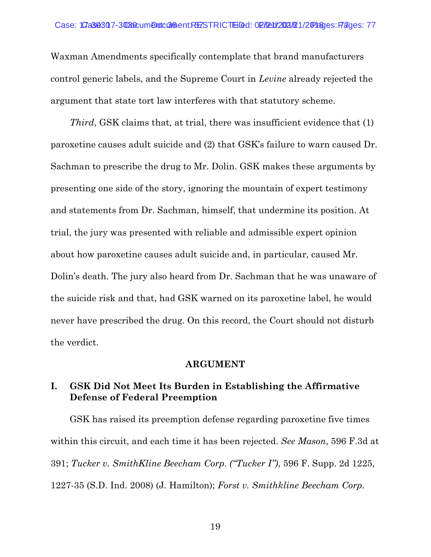Waxman Amendments specifically contemplate that brand manufacturers control generic labels, and the Supreme Court in *Levine* already rejected the argument that state tort law interferes with that statutory scheme.

*Third*, GSK claims that, at trial, there was insufficient evidence that (1) paroxetine causes adult suicide and (2) that GSK's failure to warn caused Dr. Sachman to prescribe the drug to Mr. Dolin. GSK makes these arguments by presenting one side of the story, ignoring the mountain of expert testimony and statements from Dr. Sachman, himself, that undermine its position. At trial, the jury was presented with reliable and admissible expert opinion about how paroxetine causes adult suicide and, in particular, caused Mr. Dolin's death. The jury also heard from Dr. Sachman that he was unaware of the suicide risk and that, had GSK warned on its paroxetine label, he would never have prescribed the drug. On this record, the Court should not disturb the verdict.

#### **ARGUMENT**

#### <span id="page-32-1"></span><span id="page-32-0"></span>**I. GSK Did Not Meet Its Burden in Establishing the Affirmative Defense of Federal Preemption**

GSK has raised its preemption defense regarding paroxetine five times within this circuit, and each time it has been rejected. *See Mason*, 596 F.3d at 391; *Tucker v. SmithKline Beecham Corp. ("Tucker I")*, 596 F. Supp. 2d 1225, 1227-35 (S.D. Ind. 2008) (J. Hamilton); *Forst v. Smithkline Beecham Corp.*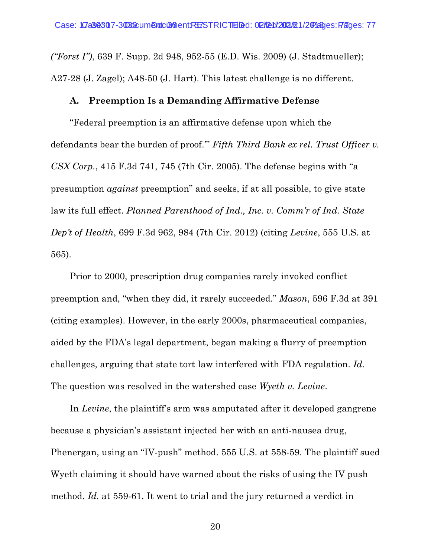*("Forst I")*, 639 F. Supp. 2d 948, 952-55 (E.D. Wis. 2009) (J. Stadtmueller); A27-28 (J. Zagel); A48-50 (J. Hart). This latest challenge is no different.

### <span id="page-33-0"></span>**A. Preemption Is a Demanding Affirmative Defense**

"Federal preemption is an affirmative defense upon which the defendants bear the burden of proof.'" *Fifth Third Bank ex rel. Trust Officer v. CSX Corp.*, 415 F.3d 741, 745 (7th Cir. 2005). The defense begins with "a presumption *against* preemption" and seeks, if at all possible, to give state law its full effect. *Planned Parenthood of Ind., Inc. v. Comm'r of Ind. State Dep't of Health*, 699 F.3d 962, 984 (7th Cir. 2012) (citing *Levine*, 555 U.S. at 565).

Prior to 2000, prescription drug companies rarely invoked conflict preemption and, "when they did, it rarely succeeded." *Mason*, 596 F.3d at 391 (citing examples). However, in the early 2000s, pharmaceutical companies, aided by the FDA's legal department, began making a flurry of preemption challenges, arguing that state tort law interfered with FDA regulation. *Id.* The question was resolved in the watershed case *Wyeth v. Levine*.

In *Levine*, the plaintiff's arm was amputated after it developed gangrene because a physician's assistant injected her with an anti-nausea drug, Phenergan, using an "IV-push" method. 555 U.S. at 558-59. The plaintiff sued Wyeth claiming it should have warned about the risks of using the IV push method. *Id.* at 559-61. It went to trial and the jury returned a verdict in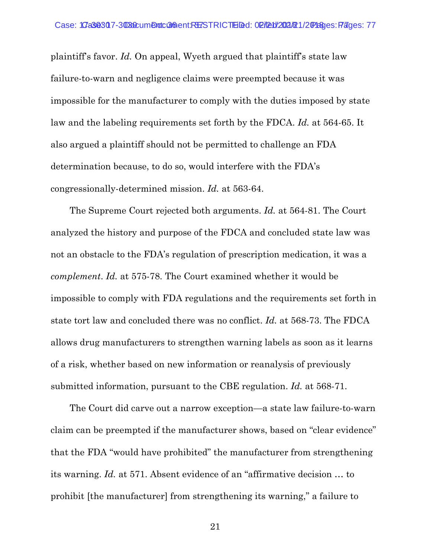plaintiff's favor. *Id.* On appeal, Wyeth argued that plaintiff's state law failure-to-warn and negligence claims were preempted because it was impossible for the manufacturer to comply with the duties imposed by state law and the labeling requirements set forth by the FDCA. *Id.* at 564-65. It also argued a plaintiff should not be permitted to challenge an FDA determination because, to do so, would interfere with the FDA's congressionally-determined mission. *Id.* at 563-64.

The Supreme Court rejected both arguments. *Id.* at 564-81. The Court analyzed the history and purpose of the FDCA and concluded state law was not an obstacle to the FDA's regulation of prescription medication, it was a *complement*. *Id.* at 575-78. The Court examined whether it would be impossible to comply with FDA regulations and the requirements set forth in state tort law and concluded there was no conflict. *Id.* at 568-73. The FDCA allows drug manufacturers to strengthen warning labels as soon as it learns of a risk, whether based on new information or reanalysis of previously submitted information, pursuant to the CBE regulation. *Id.* at 568-71.

The Court did carve out a narrow exception—a state law failure-to-warn claim can be preempted if the manufacturer shows, based on "clear evidence" that the FDA "would have prohibited" the manufacturer from strengthening its warning. *Id.* at 571. Absent evidence of an "affirmative decision … to prohibit [the manufacturer] from strengthening its warning," a failure to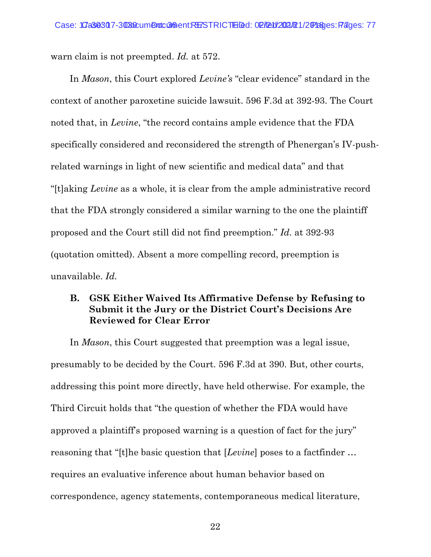warn claim is not preempted. *Id.* at 572.

In *Mason*, this Court explored *Levine's* "clear evidence" standard in the context of another paroxetine suicide lawsuit. 596 F.3d at 392-93. The Court noted that, in *Levine*, "the record contains ample evidence that the FDA specifically considered and reconsidered the strength of Phenergan's IV-pushrelated warnings in light of new scientific and medical data" and that "[t]aking *Levine* as a whole, it is clear from the ample administrative record that the FDA strongly considered a similar warning to the one the plaintiff proposed and the Court still did not find preemption." *Id.* at 392-93 (quotation omitted). Absent a more compelling record, preemption is unavailable. *Id.*

#### <span id="page-35-0"></span>**B. GSK Either Waived Its Affirmative Defense by Refusing to Submit it the Jury or the District Court's Decisions Are Reviewed for Clear Error**

In *Mason*, this Court suggested that preemption was a legal issue, presumably to be decided by the Court. 596 F.3d at 390. But, other courts, addressing this point more directly, have held otherwise. For example, the Third Circuit holds that "the question of whether the FDA would have approved a plaintiff's proposed warning is a question of fact for the jury" reasoning that "[t]he basic question that [*Levine*] poses to a factfinder … requires an evaluative inference about human behavior based on correspondence, agency statements, contemporaneous medical literature,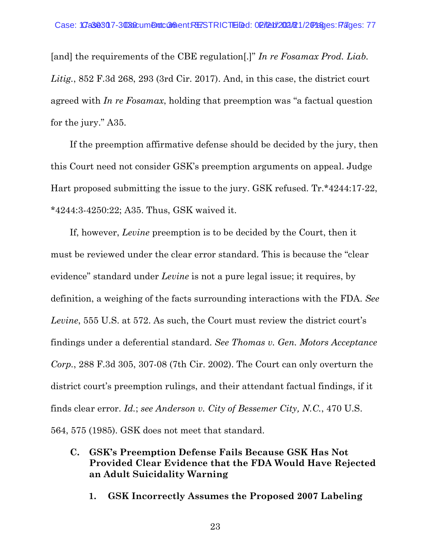[and] the requirements of the CBE regulation[.]" *In re Fosamax Prod. Liab. Litig.*, 852 F.3d 268, 293 (3rd Cir. 2017). And, in this case, the district court agreed with *In re Fosamax*, holding that preemption was "a factual question for the jury." A35.

If the preemption affirmative defense should be decided by the jury, then this Court need not consider GSK's preemption arguments on appeal. Judge Hart proposed submitting the issue to the jury. GSK refused. Tr.\*4244:17-22, \*4244:3-4250:22; A35. Thus, GSK waived it.

If, however, *Levine* preemption is to be decided by the Court, then it must be reviewed under the clear error standard. This is because the "clear evidence" standard under *Levine* is not a pure legal issue; it requires, by definition, a weighing of the facts surrounding interactions with the FDA. *See Levine*, 555 U.S. at 572. As such, the Court must review the district court's findings under a deferential standard. *See Thomas v. Gen. Motors Acceptance Corp.*, 288 F.3d 305, 307-08 (7th Cir. 2002). The Court can only overturn the district court's preemption rulings, and their attendant factual findings, if it finds clear error. *Id.*; *see Anderson v. City of Bessemer City, N.C.*, 470 U.S.

564, 575 (1985). GSK does not meet that standard.

- **C. GSK's Preemption Defense Fails Because GSK Has Not Provided Clear Evidence that the FDA Would Have Rejected an Adult Suicidality Warning**
	- **1. GSK Incorrectly Assumes the Proposed 2007 Labeling**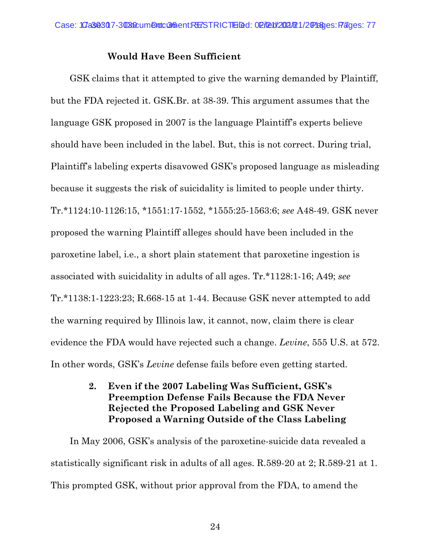#### **Would Have Been Sufficient**

GSK claims that it attempted to give the warning demanded by Plaintiff, but the FDA rejected it. GSK.Br. at 38-39. This argument assumes that the language GSK proposed in 2007 is the language Plaintiff's experts believe should have been included in the label. But, this is not correct. During trial, Plaintiff's labeling experts disavowed GSK's proposed language as misleading because it suggests the risk of suicidality is limited to people under thirty. Tr.\*1124:10-1126:15, \*1551:17-1552, \*1555:25-1563:6; *see* A48-49. GSK never proposed the warning Plaintiff alleges should have been included in the paroxetine label, i.e., a short plain statement that paroxetine ingestion is associated with suicidality in adults of all ages. Tr.\*1128:1-16; A49; *see*  Tr.\*1138:1-1223:23; R.668-15 at 1-44. Because GSK never attempted to add the warning required by Illinois law, it cannot, now, claim there is clear evidence the FDA would have rejected such a change. *Levine*, 555 U.S. at 572. In other words, GSK's *Levine* defense fails before even getting started.

> **2. Even if the 2007 Labeling Was Sufficient, GSK's Preemption Defense Fails Because the FDA Never Rejected the Proposed Labeling and GSK Never Proposed a Warning Outside of the Class Labeling**

In May 2006, GSK's analysis of the paroxetine-suicide data revealed a statistically significant risk in adults of all ages. R.589-20 at 2; R.589-21 at 1. This prompted GSK, without prior approval from the FDA, to amend the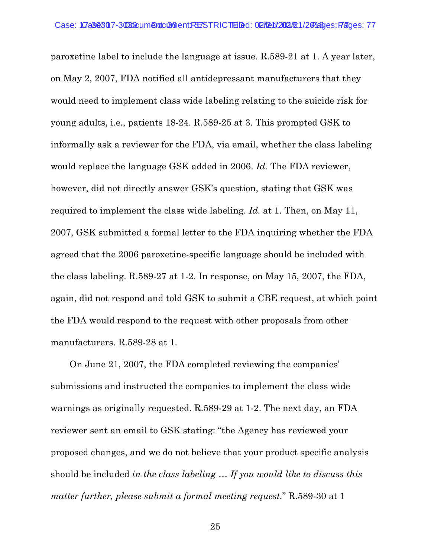paroxetine label to include the language at issue. R.589-21 at 1. A year later, on May 2, 2007, FDA notified all antidepressant manufacturers that they would need to implement class wide labeling relating to the suicide risk for young adults, i.e., patients 18-24. R.589-25 at 3. This prompted GSK to informally ask a reviewer for the FDA, via email, whether the class labeling would replace the language GSK added in 2006. *Id.* The FDA reviewer, however, did not directly answer GSK's question, stating that GSK was required to implement the class wide labeling. *Id.* at 1. Then, on May 11, 2007, GSK submitted a formal letter to the FDA inquiring whether the FDA agreed that the 2006 paroxetine-specific language should be included with the class labeling. R.589-27 at 1-2. In response, on May 15, 2007, the FDA, again, did not respond and told GSK to submit a CBE request, at which point the FDA would respond to the request with other proposals from other manufacturers. R.589-28 at 1.

On June 21, 2007, the FDA completed reviewing the companies' submissions and instructed the companies to implement the class wide warnings as originally requested. R.589-29 at 1-2. The next day, an FDA reviewer sent an email to GSK stating: "the Agency has reviewed your proposed changes, and we do not believe that your product specific analysis should be included *in the class labeling* … *If you would like to discuss this matter further, please submit a formal meeting request.*" R.589-30 at 1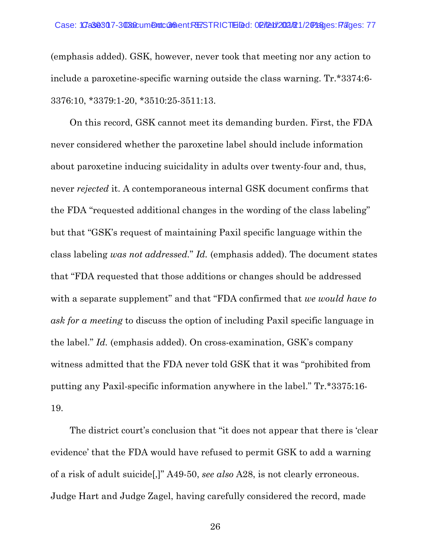(emphasis added). GSK, however, never took that meeting nor any action to include a paroxetine-specific warning outside the class warning. Tr.\*3374:6- 3376:10, \*3379:1-20, \*3510:25-3511:13.

On this record, GSK cannot meet its demanding burden. First, the FDA never considered whether the paroxetine label should include information about paroxetine inducing suicidality in adults over twenty-four and, thus, never *rejected* it. A contemporaneous internal GSK document confirms that the FDA "requested additional changes in the wording of the class labeling" but that "GSK's request of maintaining Paxil specific language within the class labeling *was not addressed.*" *Id.* (emphasis added). The document states that "FDA requested that those additions or changes should be addressed with a separate supplement" and that "FDA confirmed that *we would have to ask for a meeting* to discuss the option of including Paxil specific language in the label." *Id.* (emphasis added). On cross-examination, GSK's company witness admitted that the FDA never told GSK that it was "prohibited from putting any Paxil-specific information anywhere in the label." Tr.\*3375:16- 19.

The district court's conclusion that "it does not appear that there is 'clear evidence' that the FDA would have refused to permit GSK to add a warning of a risk of adult suicide[,]" A49-50, *see also* A28, is not clearly erroneous. Judge Hart and Judge Zagel, having carefully considered the record, made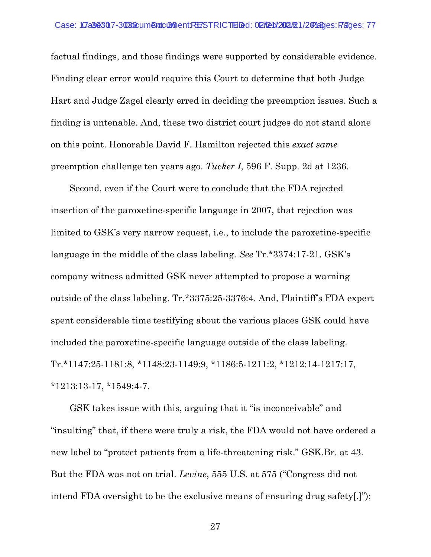factual findings, and those findings were supported by considerable evidence. Finding clear error would require this Court to determine that both Judge Hart and Judge Zagel clearly erred in deciding the preemption issues. Such a finding is untenable. And, these two district court judges do not stand alone on this point. Honorable David F. Hamilton rejected this *exact same* preemption challenge ten years ago. *Tucker I*, 596 F. Supp. 2d at 1236.

Second, even if the Court were to conclude that the FDA rejected insertion of the paroxetine-specific language in 2007, that rejection was limited to GSK's very narrow request, i.e., to include the paroxetine-specific language in the middle of the class labeling. *See* Tr.\*3374:17-21. GSK's company witness admitted GSK never attempted to propose a warning outside of the class labeling. Tr.\*3375:25-3376:4. And, Plaintiff's FDA expert spent considerable time testifying about the various places GSK could have included the paroxetine-specific language outside of the class labeling. Tr.\*1147:25-1181:8, \*1148:23-1149:9, \*1186:5-1211:2, \*1212:14-1217:17, \*1213:13-17, \*1549:4-7.

GSK takes issue with this, arguing that it "is inconceivable" and "insulting" that, if there were truly a risk, the FDA would not have ordered a new label to "protect patients from a life-threatening risk." GSK.Br. at 43. But the FDA was not on trial. *Levine*, 555 U.S. at 575 ("Congress did not intend FDA oversight to be the exclusive means of ensuring drug safety[.]");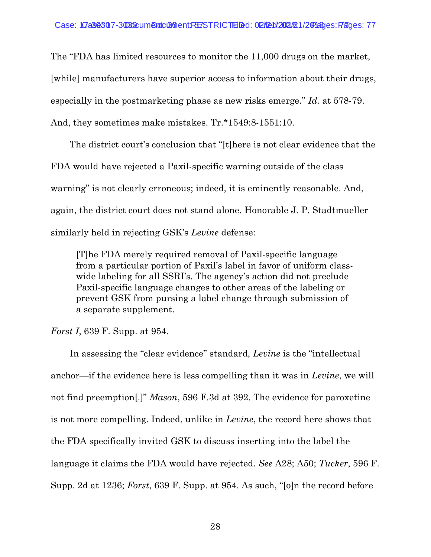The "FDA has limited resources to monitor the 11,000 drugs on the market, [while] manufacturers have superior access to information about their drugs, especially in the postmarketing phase as new risks emerge." *Id.* at 578-79. And, they sometimes make mistakes. Tr.\*1549:8-1551:10.

The district court's conclusion that "[t]here is not clear evidence that the FDA would have rejected a Paxil-specific warning outside of the class warning" is not clearly erroneous; indeed, it is eminently reasonable. And, again, the district court does not stand alone. Honorable J. P. Stadtmueller similarly held in rejecting GSK's *Levine* defense:

[T]he FDA merely required removal of Paxil-specific language from a particular portion of Paxil's label in favor of uniform classwide labeling for all SSRI's. The agency's action did not preclude Paxil-specific language changes to other areas of the labeling or prevent GSK from pursing a label change through submission of a separate supplement.

*Forst I*, 639 F. Supp. at 954.

In assessing the "clear evidence" standard, *Levine* is the "intellectual anchor—if the evidence here is less compelling than it was in *Levine*, we will not find preemption[.]" *Mason*, 596 F.3d at 392. The evidence for paroxetine is not more compelling. Indeed, unlike in *Levine*, the record here shows that the FDA specifically invited GSK to discuss inserting into the label the language it claims the FDA would have rejected. *See* A28; A50; *Tucker*, 596 F. Supp. 2d at 1236; *Forst*, 639 F. Supp. at 954. As such, "[o]n the record before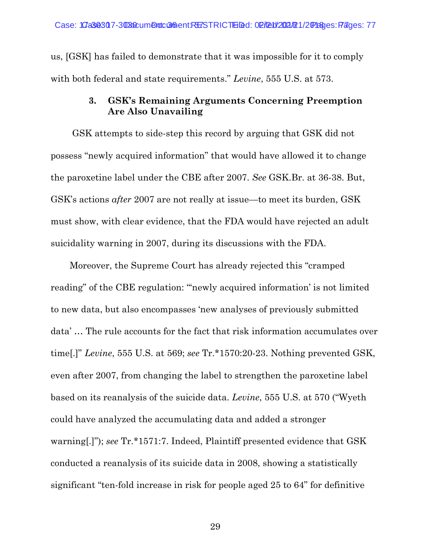us, [GSK] has failed to demonstrate that it was impossible for it to comply with both federal and state requirements." *Levine*, 555 U.S. at 573.

#### **3. GSK's Remaining Arguments Concerning Preemption Are Also Unavailing**

GSK attempts to side-step this record by arguing that GSK did not possess "newly acquired information" that would have allowed it to change the paroxetine label under the CBE after 2007. *See* GSK.Br. at 36-38. But, GSK's actions *after* 2007 are not really at issue—to meet its burden, GSK must show, with clear evidence, that the FDA would have rejected an adult suicidality warning in 2007, during its discussions with the FDA.

Moreover, the Supreme Court has already rejected this "cramped reading" of the CBE regulation: ""newly acquired information' is not limited to new data, but also encompasses 'new analyses of previously submitted data' … The rule accounts for the fact that risk information accumulates over time[.]" *Levine*, 555 U.S. at 569; *see* Tr.\*1570:20-23. Nothing prevented GSK, even after 2007, from changing the label to strengthen the paroxetine label based on its reanalysis of the suicide data. *Levine*, 555 U.S. at 570 ("Wyeth could have analyzed the accumulating data and added a stronger warning[.]"); *see* Tr.\*1571:7. Indeed, Plaintiff presented evidence that GSK conducted a reanalysis of its suicide data in 2008, showing a statistically significant "ten-fold increase in risk for people aged 25 to 64" for definitive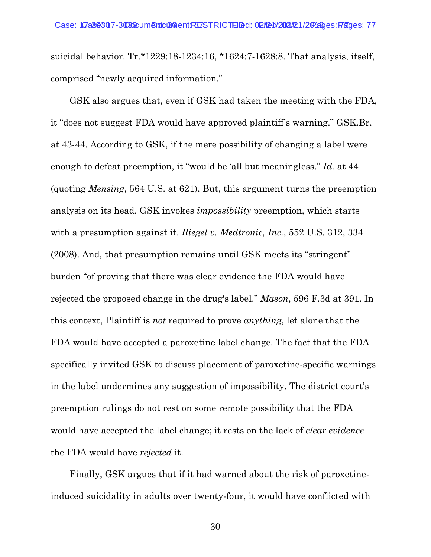suicidal behavior. Tr.\*1229:18-1234:16, \*1624:7-1628:8. That analysis, itself, comprised "newly acquired information."

GSK also argues that, even if GSK had taken the meeting with the FDA, it "does not suggest FDA would have approved plaintiff's warning." GSK.Br. at 43-44. According to GSK, if the mere possibility of changing a label were enough to defeat preemption, it "would be 'all but meaningless." *Id.* at 44 (quoting *Mensing*, 564 U.S. at 621). But, this argument turns the preemption analysis on its head. GSK invokes *impossibility* preemption, which starts with a presumption against it. *Riegel v. Medtronic, Inc.*, 552 U.S. 312, 334 (2008). And, that presumption remains until GSK meets its "stringent" burden "of proving that there was clear evidence the FDA would have rejected the proposed change in the drug's label." *Mason*, 596 F.3d at 391. In this context, Plaintiff is *not* required to prove *anything*, let alone that the FDA would have accepted a paroxetine label change. The fact that the FDA specifically invited GSK to discuss placement of paroxetine-specific warnings in the label undermines any suggestion of impossibility. The district court's preemption rulings do not rest on some remote possibility that the FDA would have accepted the label change; it rests on the lack of *clear evidence* the FDA would have *rejected* it.

Finally, GSK argues that if it had warned about the risk of paroxetineinduced suicidality in adults over twenty-four, it would have conflicted with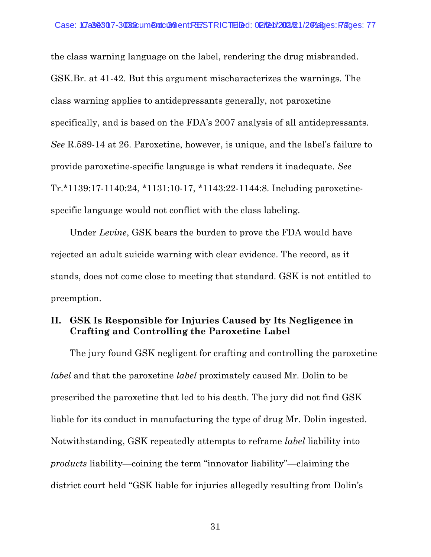the class warning language on the label, rendering the drug misbranded. GSK.Br. at 41-42. But this argument mischaracterizes the warnings. The class warning applies to antidepressants generally, not paroxetine specifically, and is based on the FDA's 2007 analysis of all antidepressants. *See* R.589-14 at 26. Paroxetine, however, is unique, and the label's failure to provide paroxetine-specific language is what renders it inadequate. *See* Tr.\*1139:17-1140:24, \*1131:10-17, \*1143:22-1144:8. Including paroxetinespecific language would not conflict with the class labeling.

Under *Levine*, GSK bears the burden to prove the FDA would have rejected an adult suicide warning with clear evidence. The record, as it stands, does not come close to meeting that standard. GSK is not entitled to preemption.

### **II. GSK Is Responsible for Injuries Caused by Its Negligence in Crafting and Controlling the Paroxetine Label**

The jury found GSK negligent for crafting and controlling the paroxetine *label* and that the paroxetine *label* proximately caused Mr. Dolin to be prescribed the paroxetine that led to his death. The jury did not find GSK liable for its conduct in manufacturing the type of drug Mr. Dolin ingested. Notwithstanding, GSK repeatedly attempts to reframe *label* liability into *products* liability—coining the term "innovator liability"—claiming the district court held "GSK liable for injuries allegedly resulting from Dolin's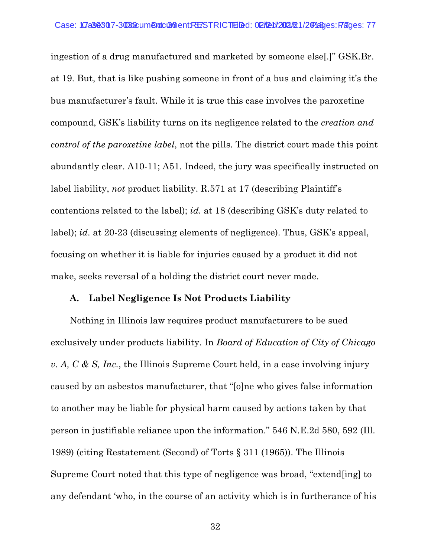ingestion of a drug manufactured and marketed by someone else[.]" GSK.Br. at 19. But, that is like pushing someone in front of a bus and claiming it's the bus manufacturer's fault. While it is true this case involves the paroxetine compound, GSK's liability turns on its negligence related to the *creation and control of the paroxetine label*, not the pills. The district court made this point abundantly clear. A10-11; A51. Indeed, the jury was specifically instructed on label liability, *not* product liability. R.571 at 17 (describing Plaintiff's contentions related to the label); *id.* at 18 (describing GSK's duty related to label); *id.* at 20-23 (discussing elements of negligence). Thus, GSK's appeal, focusing on whether it is liable for injuries caused by a product it did not make, seeks reversal of a holding the district court never made.

#### **A. Label Negligence Is Not Products Liability**

Nothing in Illinois law requires product manufacturers to be sued exclusively under products liability. In *Board of Education of City of Chicago v. A, C & S, Inc.*, the Illinois Supreme Court held, in a case involving injury caused by an asbestos manufacturer, that "[o]ne who gives false information to another may be liable for physical harm caused by actions taken by that person in justifiable reliance upon the information." 546 N.E.2d 580, 592 (Ill. 1989) (citing Restatement (Second) of Torts § 311 (1965)). The Illinois Supreme Court noted that this type of negligence was broad, "extend[ing] to any defendant 'who, in the course of an activity which is in furtherance of his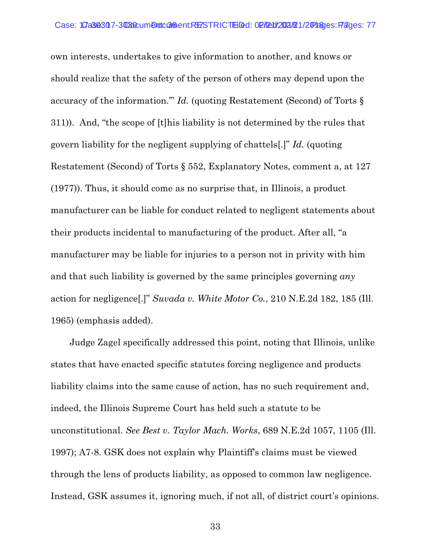own interests, undertakes to give information to another, and knows or should realize that the safety of the person of others may depend upon the accuracy of the information.'" *Id.* (quoting Restatement (Second) of Torts § 311)). And, "the scope of [t]his liability is not determined by the rules that govern liability for the negligent supplying of chattels[.]" *Id.* (quoting Restatement (Second) of Torts § 552, Explanatory Notes, comment a, at 127 (1977)). Thus, it should come as no surprise that, in Illinois, a product manufacturer can be liable for conduct related to negligent statements about their products incidental to manufacturing of the product. After all, "a manufacturer may be liable for injuries to a person not in privity with him and that such liability is governed by the same principles governing *any* action for negligence[.]" *Suvada v. White Motor Co.*, 210 N.E.2d 182, 185 (Ill. 1965) (emphasis added).

Judge Zagel specifically addressed this point, noting that Illinois, unlike states that have enacted specific statutes forcing negligence and products liability claims into the same cause of action, has no such requirement and, indeed, the Illinois Supreme Court has held such a statute to be unconstitutional. *See Best v. Taylor Mach. Works*, 689 N.E.2d 1057, 1105 (Ill. 1997); A7-8. GSK does not explain why Plaintiff's claims must be viewed through the lens of products liability, as opposed to common law negligence. Instead, GSK assumes it, ignoring much, if not all, of district court's opinions.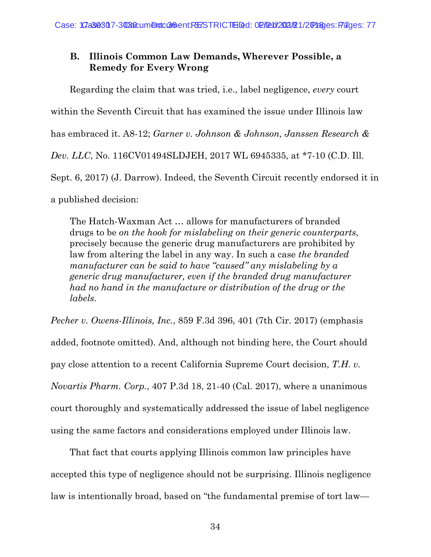# **B. Illinois Common Law Demands, Wherever Possible, a Remedy for Every Wrong**

Regarding the claim that was tried, i.e., label negligence, *every* court within the Seventh Circuit that has examined the issue under Illinois law has embraced it. A8-12; *Garner v. Johnson & Johnson, Janssen Research & Dev. LLC*, No. 116CV01494SLDJEH, 2017 WL 6945335, at \*7-10 (C.D. Ill. Sept. 6, 2017) (J. Darrow). Indeed, the Seventh Circuit recently endorsed it in a published decision:

The Hatch-Waxman Act … allows for manufacturers of branded drugs to be *on the hook for mislabeling on their generic counterparts*, precisely because the generic drug manufacturers are prohibited by law from altering the label in any way. In such a case *the branded manufacturer can be said to have "caused" any mislabeling by a generic drug manufacturer, even if the branded drug manufacturer had no hand in the manufacture or distribution of the drug or the labels.*

*Pecher v. Owens-Illinois, Inc.*, 859 F.3d 396, 401 (7th Cir. 2017) (emphasis added, footnote omitted). And, although not binding here, the Court should pay close attention to a recent California Supreme Court decision, *T.H. v. Novartis Pharm. Corp.*, 407 P.3d 18, 21-40 (Cal. 2017), where a unanimous court thoroughly and systematically addressed the issue of label negligence using the same factors and considerations employed under Illinois law.

That fact that courts applying Illinois common law principles have accepted this type of negligence should not be surprising. Illinois negligence law is intentionally broad, based on "the fundamental premise of tort law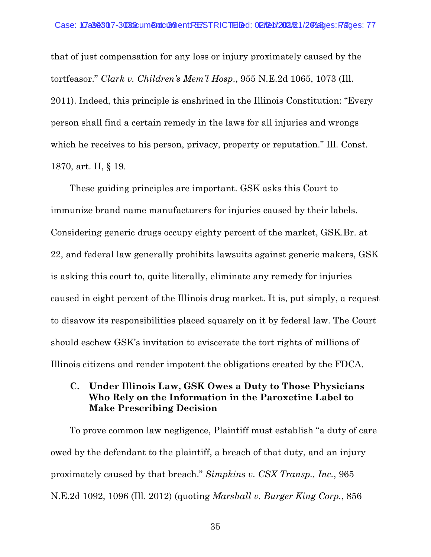that of just compensation for any loss or injury proximately caused by the tortfeasor." *Clark v. Children's Mem'l Hosp*., 955 N.E.2d 1065, 1073 (Ill. 2011). Indeed, this principle is enshrined in the Illinois Constitution: "Every person shall find a certain remedy in the laws for all injuries and wrongs which he receives to his person, privacy, property or reputation." Ill. Const. 1870, art. II, § 19.

These guiding principles are important. GSK asks this Court to immunize brand name manufacturers for injuries caused by their labels. Considering generic drugs occupy eighty percent of the market, GSK.Br. at 22, and federal law generally prohibits lawsuits against generic makers, GSK is asking this court to, quite literally, eliminate any remedy for injuries caused in eight percent of the Illinois drug market. It is, put simply, a request to disavow its responsibilities placed squarely on it by federal law. The Court should eschew GSK's invitation to eviscerate the tort rights of millions of Illinois citizens and render impotent the obligations created by the FDCA.

### **C. Under Illinois Law, GSK Owes a Duty to Those Physicians Who Rely on the Information in the Paroxetine Label to Make Prescribing Decision**

To prove common law negligence, Plaintiff must establish "a duty of care owed by the defendant to the plaintiff, a breach of that duty, and an injury proximately caused by that breach." *Simpkins v. CSX Transp., Inc.*, 965 N.E.2d 1092, 1096 (Ill. 2012) (quoting *Marshall v. Burger King Corp.*, 856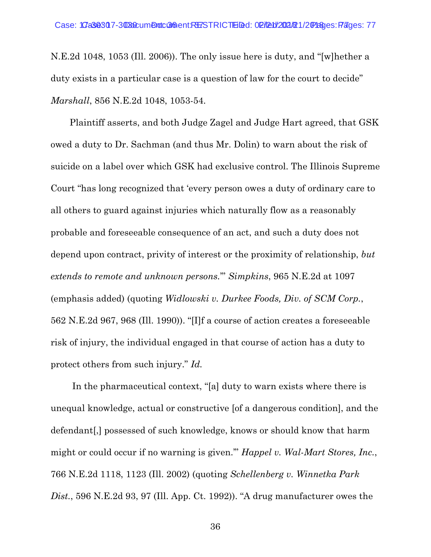N.E.2d 1048, 1053 (Ill. 2006)). The only issue here is duty, and "[w]hether a duty exists in a particular case is a question of law for the court to decide" *Marshall*, 856 N.E.2d 1048, 1053-54.

Plaintiff asserts, and both Judge Zagel and Judge Hart agreed, that GSK owed a duty to Dr. Sachman (and thus Mr. Dolin) to warn about the risk of suicide on a label over which GSK had exclusive control. The Illinois Supreme Court "has long recognized that 'every person owes a duty of ordinary care to all others to guard against injuries which naturally flow as a reasonably probable and foreseeable consequence of an act, and such a duty does not depend upon contract, privity of interest or the proximity of relationship, *but extends to remote and unknown persons.*'" *Simpkins*, 965 N.E.2d at 1097 (emphasis added) (quoting *Widlowski v. Durkee Foods, Div. of SCM Corp.*, 562 N.E.2d 967, 968 (Ill. 1990)). "[I]f a course of action creates a foreseeable risk of injury, the individual engaged in that course of action has a duty to protect others from such injury." *Id.*

In the pharmaceutical context, "[a] duty to warn exists where there is unequal knowledge, actual or constructive [of a dangerous condition], and the defendant[,] possessed of such knowledge, knows or should know that harm might or could occur if no warning is given.'" *Happel v. Wal-Mart Stores, Inc.*, 766 N.E.2d 1118, 1123 (Ill. 2002) (quoting *Schellenberg v. Winnetka Park Dist.*, 596 N.E.2d 93, 97 (Ill. App. Ct. 1992)). "A drug manufacturer owes the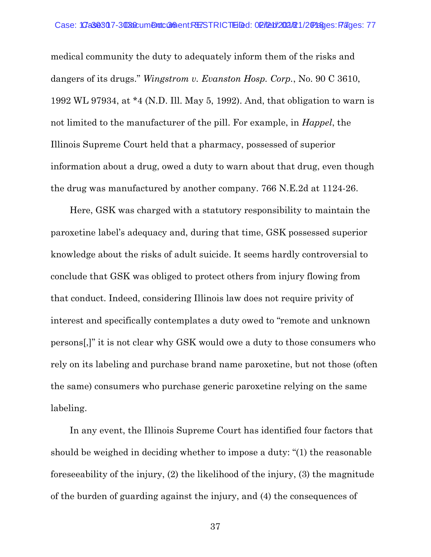medical community the duty to adequately inform them of the risks and dangers of its drugs." *Wingstrom v. Evanston Hosp. Corp.*, No. 90 C 3610, 1992 WL 97934, at \*4 (N.D. Ill. May 5, 1992). And, that obligation to warn is not limited to the manufacturer of the pill. For example, in *Happel*, the Illinois Supreme Court held that a pharmacy, possessed of superior information about a drug, owed a duty to warn about that drug, even though the drug was manufactured by another company. 766 N.E.2d at 1124-26.

Here, GSK was charged with a statutory responsibility to maintain the paroxetine label's adequacy and, during that time, GSK possessed superior knowledge about the risks of adult suicide. It seems hardly controversial to conclude that GSK was obliged to protect others from injury flowing from that conduct. Indeed, considering Illinois law does not require privity of interest and specifically contemplates a duty owed to "remote and unknown persons[,]" it is not clear why GSK would owe a duty to those consumers who rely on its labeling and purchase brand name paroxetine, but not those (often the same) consumers who purchase generic paroxetine relying on the same labeling.

In any event, the Illinois Supreme Court has identified four factors that should be weighed in deciding whether to impose a duty: "(1) the reasonable foreseeability of the injury, (2) the likelihood of the injury, (3) the magnitude of the burden of guarding against the injury, and (4) the consequences of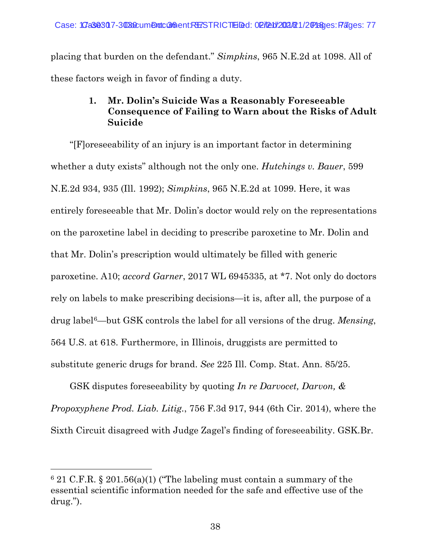placing that burden on the defendant." *Simpkins*, 965 N.E.2d at 1098. All of these factors weigh in favor of finding a duty.

# **1. Mr. Dolin's Suicide Was a Reasonably Foreseeable Consequence of Failing to Warn about the Risks of Adult Suicide**

"[F]oreseeability of an injury is an important factor in determining whether a duty exists" although not the only one. *Hutchings v. Bauer*, 599 N.E.2d 934, 935 (Ill. 1992); *Simpkins*, 965 N.E.2d at 1099. Here, it was entirely foreseeable that Mr. Dolin's doctor would rely on the representations on the paroxetine label in deciding to prescribe paroxetine to Mr. Dolin and that Mr. Dolin's prescription would ultimately be filled with generic paroxetine. A10; *accord Garner*, 2017 WL 6945335, at \*7. Not only do doctors rely on labels to make prescribing decisions—it is, after all, the purpose of a drug label[6](#page-51-0)—but GSK controls the label for all versions of the drug. *Mensing*, 564 U.S. at 618. Furthermore, in Illinois, druggists are permitted to substitute generic drugs for brand. *See* 225 Ill. Comp. Stat. Ann. 85/25.

GSK disputes foreseeability by quoting *In re Darvocet, Darvon, & Propoxyphene Prod. Liab. Litig.*, 756 F.3d 917, 944 (6th Cir. 2014), where the Sixth Circuit disagreed with Judge Zagel's finding of foreseeability. GSK.Br.

 $\overline{a}$ 

<span id="page-51-0"></span> $6$  21 C.F.R. § 201.56(a)(1) ("The labeling must contain a summary of the essential scientific information needed for the safe and effective use of the drug.").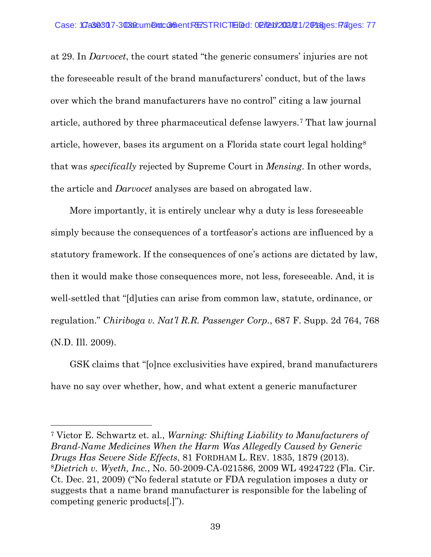at 29. In *Darvocet*, the court stated "the generic consumers' injuries are not the foreseeable result of the brand manufacturers' conduct, but of the laws over which the brand manufacturers have no control" citing a law journal article, authored by three pharmaceutical defense lawyers.[7](#page-52-0) That law journal article, however, bases its argument on a Florida state court legal holding[8](#page-52-1) that was *specifically* rejected by Supreme Court in *Mensing*. In other words, the article and *Darvocet* analyses are based on abrogated law.

More importantly, it is entirely unclear why a duty is less foreseeable simply because the consequences of a tortfeasor's actions are influenced by a statutory framework. If the consequences of one's actions are dictated by law, then it would make those consequences more, not less, foreseeable. And, it is well-settled that "[d]uties can arise from common law, statute, ordinance, or regulation." *Chiriboga v. Nat'l R.R. Passenger Corp.*, 687 F. Supp. 2d 764, 768 (N.D. Ill. 2009).

GSK claims that "[o]nce exclusivities have expired, brand manufacturers have no say over whether, how, and what extent a generic manufacturer

<span id="page-52-1"></span><span id="page-52-0"></span><sup>7</sup> Victor E. Schwartz et. al., *Warning: Shifting Liability to Manufacturers of Brand-Name Medicines When the Harm Was Allegedly Caused by Generic Drugs Has Severe Side Effects*, 81 FORDHAM L. REV. 1835, 1879 (2013). <sup>8</sup>*Dietrich v. Wyeth, Inc.*, No. 50-2009-CA-021586, 2009 WL 4924722 (Fla. Cir. Ct. Dec. 21, 2009) ("No federal statute or FDA regulation imposes a duty or suggests that a name brand manufacturer is responsible for the labeling of competing generic products[.]").

l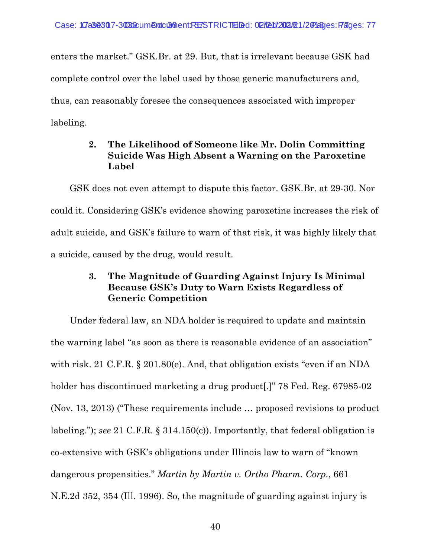enters the market." GSK.Br. at 29. But, that is irrelevant because GSK had complete control over the label used by those generic manufacturers and, thus, can reasonably foresee the consequences associated with improper labeling.

## **2. The Likelihood of Someone like Mr. Dolin Committing Suicide Was High Absent a Warning on the Paroxetine Label**

GSK does not even attempt to dispute this factor. GSK.Br. at 29-30. Nor could it. Considering GSK's evidence showing paroxetine increases the risk of adult suicide, and GSK's failure to warn of that risk, it was highly likely that a suicide, caused by the drug, would result.

# **3. The Magnitude of Guarding Against Injury Is Minimal Because GSK's Duty to Warn Exists Regardless of Generic Competition**

Under federal law, an NDA holder is required to update and maintain the warning label "as soon as there is reasonable evidence of an association" with risk. 21 C.F.R. § 201.80(e). And, that obligation exists "even if an NDA holder has discontinued marketing a drug product.<sup>"</sup> 78 Fed. Reg. 67985-02 (Nov. 13, 2013) ("These requirements include … proposed revisions to product labeling."); *see* 21 C.F.R. § 314.150(c)). Importantly, that federal obligation is co-extensive with GSK's obligations under Illinois law to warn of "known dangerous propensities." *Martin by Martin v. Ortho Pharm. Corp.*, 661 N.E.2d 352, 354 (Ill. 1996). So, the magnitude of guarding against injury is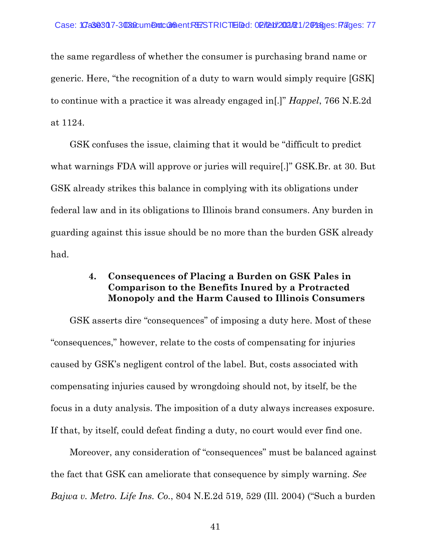the same regardless of whether the consumer is purchasing brand name or generic. Here, "the recognition of a duty to warn would simply require [GSK] to continue with a practice it was already engaged in[.]" *Happel*, 766 N.E.2d at 1124.

GSK confuses the issue, claiming that it would be "difficult to predict what warnings FDA will approve or juries will require[.]" GSK.Br. at 30. But GSK already strikes this balance in complying with its obligations under federal law and in its obligations to Illinois brand consumers. Any burden in guarding against this issue should be no more than the burden GSK already had.

### **4. Consequences of Placing a Burden on GSK Pales in Comparison to the Benefits Inured by a Protracted Monopoly and the Harm Caused to Illinois Consumers**

GSK asserts dire "consequences" of imposing a duty here. Most of these "consequences," however, relate to the costs of compensating for injuries caused by GSK's negligent control of the label. But, costs associated with compensating injuries caused by wrongdoing should not, by itself, be the focus in a duty analysis. The imposition of a duty always increases exposure. If that, by itself, could defeat finding a duty, no court would ever find one.

Moreover, any consideration of "consequences" must be balanced against the fact that GSK can ameliorate that consequence by simply warning. *See Bajwa v. Metro. Life Ins. Co.*, 804 N.E.2d 519, 529 (Ill. 2004) ("Such a burden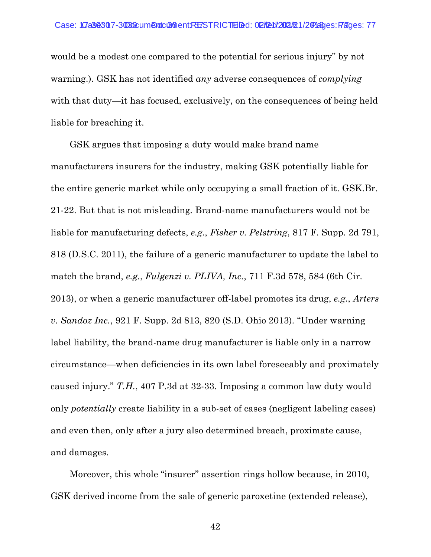would be a modest one compared to the potential for serious injury" by not warning.). GSK has not identified *any* adverse consequences of *complying* with that duty—it has focused, exclusively, on the consequences of being held liable for breaching it.

GSK argues that imposing a duty would make brand name manufacturers insurers for the industry, making GSK potentially liable for the entire generic market while only occupying a small fraction of it. GSK.Br. 21-22. But that is not misleading. Brand-name manufacturers would not be liable for manufacturing defects, *e.g.*, *Fisher v. Pelstring*, 817 F. Supp. 2d 791, 818 (D.S.C. 2011), the failure of a generic manufacturer to update the label to match the brand, *e.g.*, *Fulgenzi v. PLIVA, Inc.*, 711 F.3d 578, 584 (6th Cir. 2013), or when a generic manufacturer off-label promotes its drug, *e.g.*, *Arters v. Sandoz Inc.*, 921 F. Supp. 2d 813, 820 (S.D. Ohio 2013). "Under warning label liability, the brand-name drug manufacturer is liable only in a narrow circumstance—when deficiencies in its own label foreseeably and proximately caused injury." *T.H.*, 407 P.3d at 32-33. Imposing a common law duty would only *potentially* create liability in a sub-set of cases (negligent labeling cases) and even then, only after a jury also determined breach, proximate cause, and damages.

Moreover, this whole "insurer" assertion rings hollow because, in 2010, GSK derived income from the sale of generic paroxetine (extended release),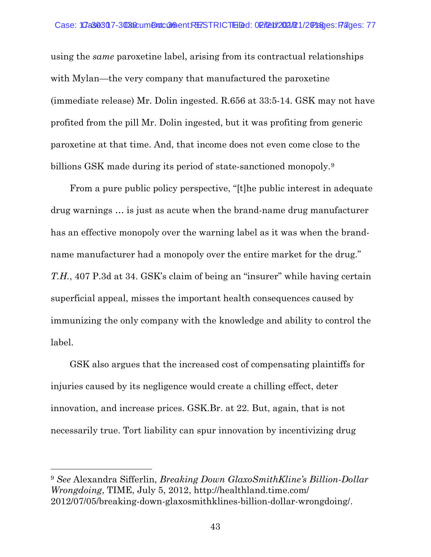using the *same* paroxetine label, arising from its contractual relationships with Mylan—the very company that manufactured the paroxetine (immediate release) Mr. Dolin ingested. R.656 at 33:5-14. GSK may not have profited from the pill Mr. Dolin ingested, but it was profiting from generic paroxetine at that time. And, that income does not even come close to the billions GSK made during its period of state-sanctioned monopoly.<sup>[9](#page-56-0)</sup>

From a pure public policy perspective, "[t]he public interest in adequate drug warnings … is just as acute when the brand-name drug manufacturer has an effective monopoly over the warning label as it was when the brandname manufacturer had a monopoly over the entire market for the drug." *T.H.*, 407 P.3d at 34. GSK's claim of being an "insurer" while having certain superficial appeal, misses the important health consequences caused by immunizing the only company with the knowledge and ability to control the label.

GSK also argues that the increased cost of compensating plaintiffs for injuries caused by its negligence would create a chilling effect, deter innovation, and increase prices. GSK.Br. at 22. But, again, that is not necessarily true. Tort liability can spur innovation by incentivizing drug

 $\overline{a}$ 

<span id="page-56-0"></span><sup>9</sup> *See* Alexandra Sifferlin, *Breaking Down GlaxoSmithKline's Billion-Dollar Wrongdoing*, TIME, July 5, 2012, http://healthland.time.com/ 2012/07/05/breaking-down-glaxosmithklines-billion-dollar-wrongdoing/.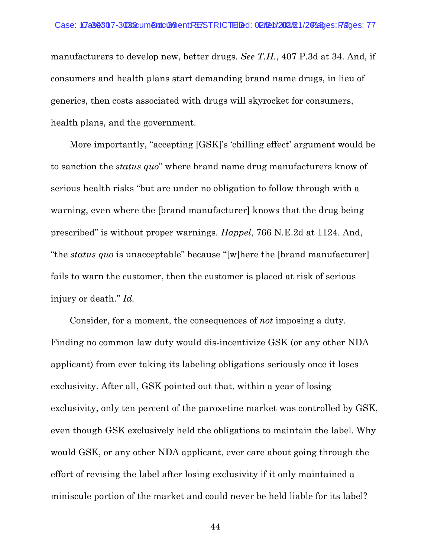manufacturers to develop new, better drugs. *See T.H.*, 407 P.3d at 34. And, if consumers and health plans start demanding brand name drugs, in lieu of generics, then costs associated with drugs will skyrocket for consumers, health plans, and the government.

More importantly, "accepting [GSK]'s 'chilling effect' argument would be to sanction the *status quo*" where brand name drug manufacturers know of serious health risks "but are under no obligation to follow through with a warning, even where the [brand manufacturer] knows that the drug being prescribed" is without proper warnings. *Happel*, 766 N.E.2d at 1124. And, "the *status quo* is unacceptable" because "[w]here the [brand manufacturer] fails to warn the customer, then the customer is placed at risk of serious injury or death." *Id.*

Consider, for a moment, the consequences of *not* imposing a duty. Finding no common law duty would dis-incentivize GSK (or any other NDA applicant) from ever taking its labeling obligations seriously once it loses exclusivity. After all, GSK pointed out that, within a year of losing exclusivity, only ten percent of the paroxetine market was controlled by GSK, even though GSK exclusively held the obligations to maintain the label. Why would GSK, or any other NDA applicant, ever care about going through the effort of revising the label after losing exclusivity if it only maintained a miniscule portion of the market and could never be held liable for its label?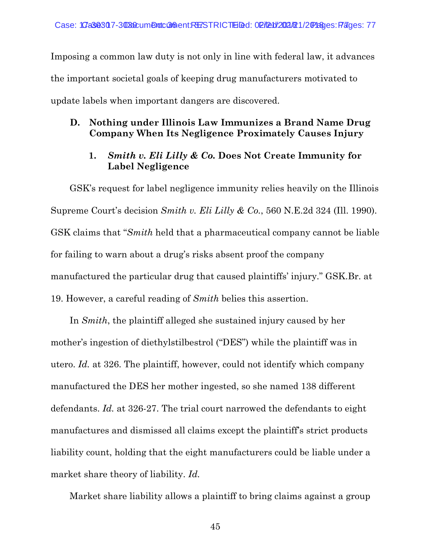Imposing a common law duty is not only in line with federal law, it advances the important societal goals of keeping drug manufacturers motivated to update labels when important dangers are discovered.

### **D. Nothing under Illinois Law Immunizes a Brand Name Drug Company When Its Negligence Proximately Causes Injury**

### **1.** *Smith v. Eli Lilly & Co.* **Does Not Create Immunity for Label Negligence**

GSK's request for label negligence immunity relies heavily on the Illinois Supreme Court's decision *Smith v. Eli Lilly & Co.*, 560 N.E.2d 324 (Ill. 1990). GSK claims that "*Smith* held that a pharmaceutical company cannot be liable for failing to warn about a drug's risks absent proof the company manufactured the particular drug that caused plaintiffs' injury." GSK.Br. at 19. However, a careful reading of *Smith* belies this assertion.

In *Smith*, the plaintiff alleged she sustained injury caused by her mother's ingestion of diethylstilbestrol ("DES") while the plaintiff was in utero. *Id.* at 326. The plaintiff, however, could not identify which company manufactured the DES her mother ingested, so she named 138 different defendants. *Id.* at 326-27. The trial court narrowed the defendants to eight manufactures and dismissed all claims except the plaintiff's strict products liability count, holding that the eight manufacturers could be liable under a market share theory of liability. *Id.*

Market share liability allows a plaintiff to bring claims against a group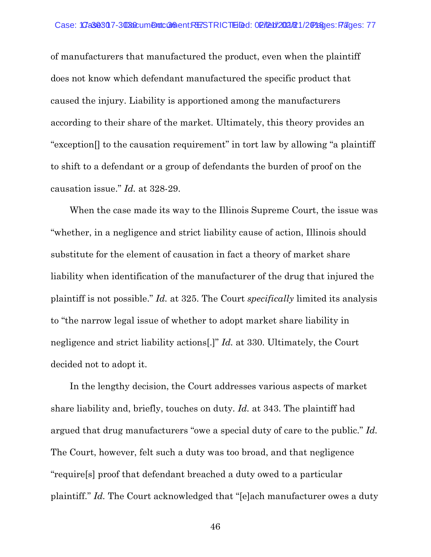of manufacturers that manufactured the product, even when the plaintiff does not know which defendant manufactured the specific product that caused the injury. Liability is apportioned among the manufacturers according to their share of the market. Ultimately, this theory provides an "exception[] to the causation requirement" in tort law by allowing "a plaintiff to shift to a defendant or a group of defendants the burden of proof on the causation issue." *Id.* at 328-29.

When the case made its way to the Illinois Supreme Court, the issue was "whether, in a negligence and strict liability cause of action, Illinois should substitute for the element of causation in fact a theory of market share liability when identification of the manufacturer of the drug that injured the plaintiff is not possible." *Id.* at 325. The Court *specifically* limited its analysis to "the narrow legal issue of whether to adopt market share liability in negligence and strict liability actions[.]" *Id.* at 330. Ultimately, the Court decided not to adopt it.

In the lengthy decision, the Court addresses various aspects of market share liability and, briefly, touches on duty. *Id.* at 343. The plaintiff had argued that drug manufacturers "owe a special duty of care to the public." *Id.* The Court, however, felt such a duty was too broad, and that negligence "require[s] proof that defendant breached a duty owed to a particular plaintiff." *Id.* The Court acknowledged that "[e]ach manufacturer owes a duty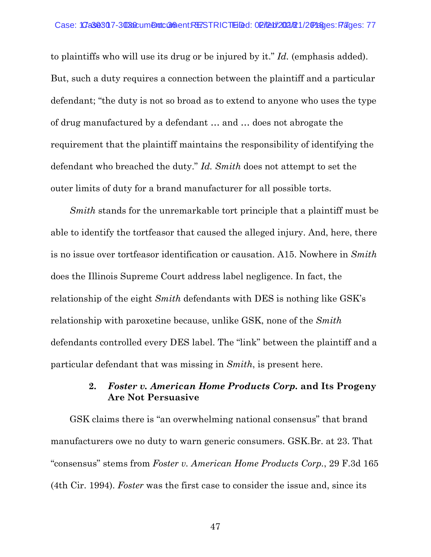to plaintiffs who will use its drug or be injured by it." *Id.* (emphasis added). But, such a duty requires a connection between the plaintiff and a particular defendant; "the duty is not so broad as to extend to anyone who uses the type of drug manufactured by a defendant … and … does not abrogate the requirement that the plaintiff maintains the responsibility of identifying the defendant who breached the duty." *Id. Smith* does not attempt to set the outer limits of duty for a brand manufacturer for all possible torts.

*Smith* stands for the unremarkable tort principle that a plaintiff must be able to identify the tortfeasor that caused the alleged injury. And, here, there is no issue over tortfeasor identification or causation. A15. Nowhere in *Smith* does the Illinois Supreme Court address label negligence. In fact, the relationship of the eight *Smith* defendants with DES is nothing like GSK's relationship with paroxetine because, unlike GSK, none of the *Smith* defendants controlled every DES label. The "link" between the plaintiff and a particular defendant that was missing in *Smith*, is present here.

#### **2.** *Foster v. American Home Products Corp.* **and Its Progeny Are Not Persuasive**

GSK claims there is "an overwhelming national consensus" that brand manufacturers owe no duty to warn generic consumers. GSK.Br. at 23. That "consensus" stems from *Foster v. American Home Products Corp.*, 29 F.3d 165 (4th Cir. 1994). *Foster* was the first case to consider the issue and, since its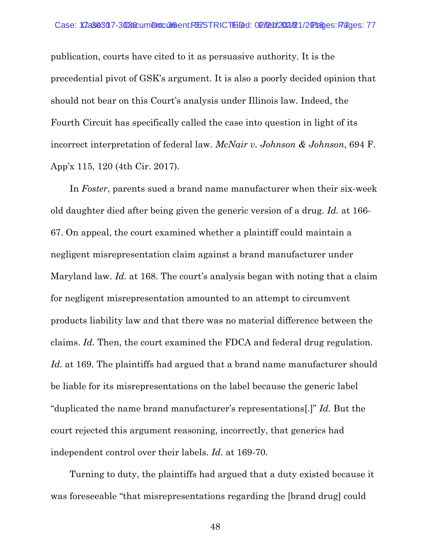publication, courts have cited to it as persuasive authority. It is the precedential pivot of GSK's argument. It is also a poorly decided opinion that should not bear on this Court's analysis under Illinois law. Indeed, the Fourth Circuit has specifically called the case into question in light of its incorrect interpretation of federal law. *McNair v. Johnson & Johnson*, 694 F. App'x 115, 120 (4th Cir. 2017).

In *Foster*, parents sued a brand name manufacturer when their six-week old daughter died after being given the generic version of a drug. *Id.* at 166- 67. On appeal, the court examined whether a plaintiff could maintain a negligent misrepresentation claim against a brand manufacturer under Maryland law. *Id.* at 168. The court's analysis began with noting that a claim for negligent misrepresentation amounted to an attempt to circumvent products liability law and that there was no material difference between the claims. *Id.* Then, the court examined the FDCA and federal drug regulation. *Id.* at 169. The plaintiffs had argued that a brand name manufacturer should be liable for its misrepresentations on the label because the generic label "duplicated the name brand manufacturer's representations[.]" *Id.* But the court rejected this argument reasoning, incorrectly, that generics had independent control over their labels. *Id.* at 169-70.

Turning to duty, the plaintiffs had argued that a duty existed because it was foreseeable "that misrepresentations regarding the [brand drug] could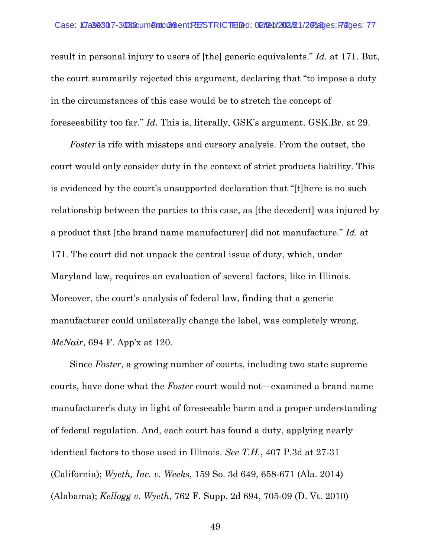result in personal injury to users of [the] generic equivalents." *Id.* at 171. But, the court summarily rejected this argument, declaring that "to impose a duty in the circumstances of this case would be to stretch the concept of foreseeability too far." *Id.* This is, literally, GSK's argument. GSK.Br. at 29.

*Foster* is rife with missteps and cursory analysis. From the outset, the court would only consider duty in the context of strict products liability. This is evidenced by the court's unsupported declaration that "[t]here is no such relationship between the parties to this case, as [the decedent] was injured by a product that [the brand name manufacturer] did not manufacture." *Id.* at 171. The court did not unpack the central issue of duty, which, under Maryland law, requires an evaluation of several factors, like in Illinois. Moreover, the court's analysis of federal law, finding that a generic manufacturer could unilaterally change the label, was completely wrong. *McNair*, 694 F. App'x at 120.

Since *Foster*, a growing number of courts, including two state supreme courts, have done what the *Foster* court would not—examined a brand name manufacturer's duty in light of foreseeable harm and a proper understanding of federal regulation. And, each court has found a duty, applying nearly identical factors to those used in Illinois. *See T.H.*, 407 P.3d at 27-31 (California); *Wyeth, Inc. v. Weeks*, 159 So. 3d 649, 658-671 (Ala. 2014) (Alabama); *Kellogg v. Wyeth*, 762 F. Supp. 2d 694, 705-09 (D. Vt. 2010)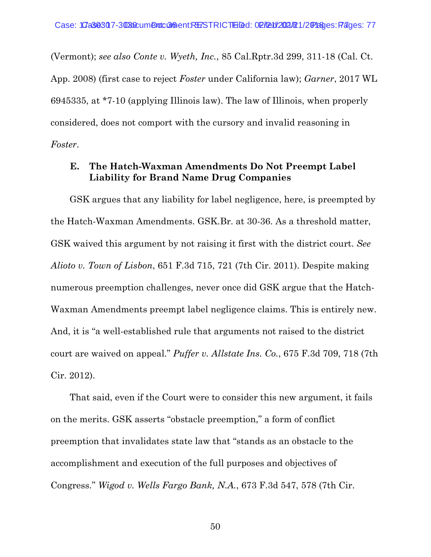(Vermont); *see also Conte v. Wyeth, Inc.*, 85 Cal.Rptr.3d 299, 311-18 (Cal. Ct. App. 2008) (first case to reject *Foster* under California law); *Garner*, 2017 WL 6945335, at \*7-10 (applying Illinois law). The law of Illinois, when properly considered, does not comport with the cursory and invalid reasoning in *Foster*.

#### **E. The Hatch-Waxman Amendments Do Not Preempt Label Liability for Brand Name Drug Companies**

GSK argues that any liability for label negligence, here, is preempted by the Hatch-Waxman Amendments. GSK.Br. at 30-36. As a threshold matter, GSK waived this argument by not raising it first with the district court. *See Alioto v. Town of Lisbon*, 651 F.3d 715, 721 (7th Cir. 2011). Despite making numerous preemption challenges, never once did GSK argue that the Hatch-Waxman Amendments preempt label negligence claims. This is entirely new. And, it is "a well-established rule that arguments not raised to the district court are waived on appeal." *Puffer v. Allstate Ins. Co.*, 675 F.3d 709, 718 (7th Cir. 2012).

That said, even if the Court were to consider this new argument, it fails on the merits. GSK asserts "obstacle preemption," a form of conflict preemption that invalidates state law that "stands as an obstacle to the accomplishment and execution of the full purposes and objectives of Congress." *Wigod v. Wells Fargo Bank, N.A.*, 673 F.3d 547, 578 (7th Cir.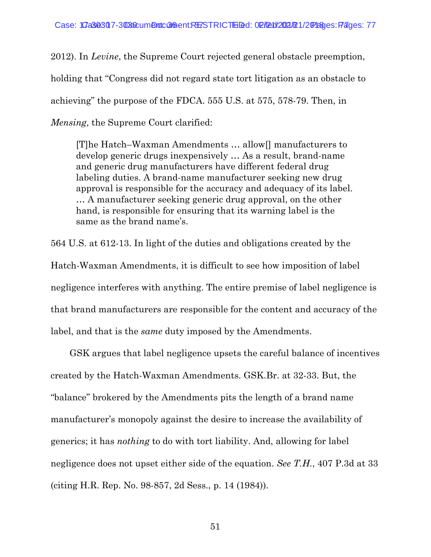2012). In *Levine*, the Supreme Court rejected general obstacle preemption, holding that "Congress did not regard state tort litigation as an obstacle to achieving" the purpose of the FDCA. 555 U.S. at 575, 578-79. Then, in *Mensing*, the Supreme Court clarified:

[T]he Hatch–Waxman Amendments … allow[] manufacturers to develop generic drugs inexpensively … As a result, brand-name and generic drug manufacturers have different federal drug labeling duties. A brand-name manufacturer seeking new drug approval is responsible for the accuracy and adequacy of its label. … A manufacturer seeking generic drug approval, on the other hand, is responsible for ensuring that its warning label is the same as the brand name's.

564 U.S. at 612-13. In light of the duties and obligations created by the Hatch-Waxman Amendments, it is difficult to see how imposition of label negligence interferes with anything. The entire premise of label negligence is that brand manufacturers are responsible for the content and accuracy of the label, and that is the *same* duty imposed by the Amendments.

GSK argues that label negligence upsets the careful balance of incentives created by the Hatch-Waxman Amendments. GSK.Br. at 32-33. But, the "balance" brokered by the Amendments pits the length of a brand name manufacturer's monopoly against the desire to increase the availability of generics; it has *nothing* to do with tort liability. And, allowing for label negligence does not upset either side of the equation. *See T.H.*, 407 P.3d at 33 (citing H.R. Rep. No. 98-857, 2d Sess., p. 14 (1984)).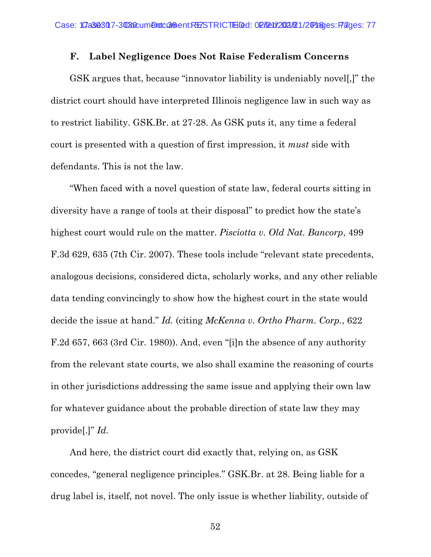#### **F. Label Negligence Does Not Raise Federalism Concerns**

GSK argues that, because "innovator liability is undeniably novel[,]" the district court should have interpreted Illinois negligence law in such way as to restrict liability. GSK.Br. at 27-28. As GSK puts it, any time a federal court is presented with a question of first impression, it *must* side with defendants. This is not the law.

"When faced with a novel question of state law, federal courts sitting in diversity have a range of tools at their disposal" to predict how the state's highest court would rule on the matter. *Pisciotta v. Old Nat. Bancorp*, 499 F.3d 629, 635 (7th Cir. 2007). These tools include "relevant state precedents, analogous decisions, considered dicta, scholarly works, and any other reliable data tending convincingly to show how the highest court in the state would decide the issue at hand." *Id.* (citing *McKenna v. Ortho Pharm. Corp.*, 622 F.2d 657, 663 (3rd Cir. 1980)). And, even "[i]n the absence of any authority from the relevant state courts, we also shall examine the reasoning of courts in other jurisdictions addressing the same issue and applying their own law for whatever guidance about the probable direction of state law they may provide[.]" *Id.* 

And here, the district court did exactly that, relying on, as GSK concedes, "general negligence principles." GSK.Br. at 28. Being liable for a drug label is, itself, not novel. The only issue is whether liability, outside of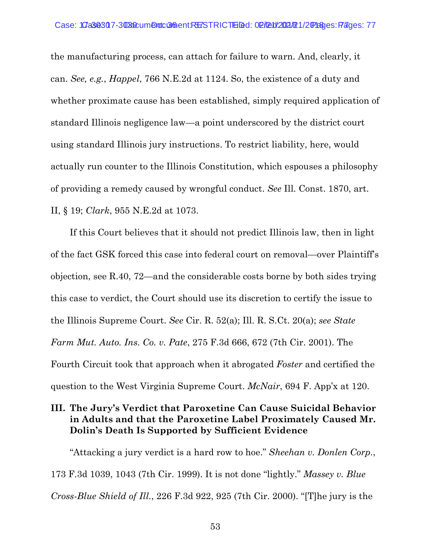the manufacturing process, can attach for failure to warn. And, clearly, it can. *See, e.g.*, *Happel*, 766 N.E.2d at 1124. So, the existence of a duty and whether proximate cause has been established, simply required application of standard Illinois negligence law—a point underscored by the district court using standard Illinois jury instructions. To restrict liability, here, would actually run counter to the Illinois Constitution, which espouses a philosophy of providing a remedy caused by wrongful conduct. *See* Ill. Const. 1870, art. II, § 19; *Clark*, 955 N.E.2d at 1073.

If this Court believes that it should not predict Illinois law, then in light of the fact GSK forced this case into federal court on removal—over Plaintiff's objection, see R.40, 72—and the considerable costs borne by both sides trying this case to verdict, the Court should use its discretion to certify the issue to the Illinois Supreme Court. *See* Cir. R. 52(a); Ill. R. S.Ct. 20(a); *see State Farm Mut. Auto. Ins. Co. v. Pate*, 275 F.3d 666, 672 (7th Cir. 2001). The Fourth Circuit took that approach when it abrogated *Foster* and certified the question to the West Virginia Supreme Court. *McNair*, 694 F. App'x at 120.

## **III. The Jury's Verdict that Paroxetine Can Cause Suicidal Behavior in Adults and that the Paroxetine Label Proximately Caused Mr. Dolin's Death Is Supported by Sufficient Evidence**

"Attacking a jury verdict is a hard row to hoe." *Sheehan v. Donlen Corp.*, 173 F.3d 1039, 1043 (7th Cir. 1999). It is not done "lightly." *Massey v. Blue Cross-Blue Shield of Ill.*, 226 F.3d 922, 925 (7th Cir. 2000). "[T]he jury is the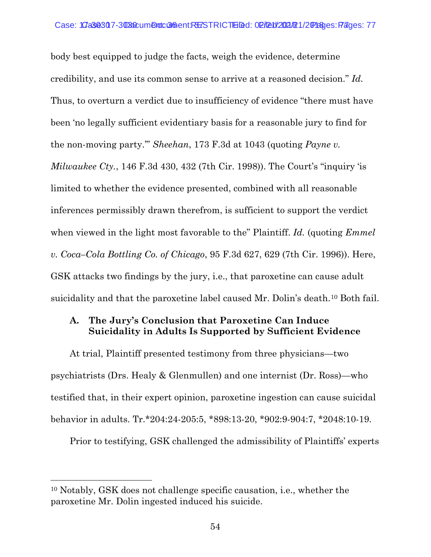body best equipped to judge the facts, weigh the evidence, determine credibility, and use its common sense to arrive at a reasoned decision." *Id.* Thus, to overturn a verdict due to insufficiency of evidence "there must have been 'no legally sufficient evidentiary basis for a reasonable jury to find for the non-moving party.'" *Sheehan*, 173 F.3d at 1043 (quoting *Payne v. Milwaukee Cty.*, 146 F.3d 430, 432 (7th Cir. 1998)). The Court's "inquiry 'is limited to whether the evidence presented, combined with all reasonable inferences permissibly drawn therefrom, is sufficient to support the verdict when viewed in the light most favorable to the" Plaintiff. *Id.* (quoting *Emmel v. Coca–Cola Bottling Co. of Chicago*, 95 F.3d 627, 629 (7th Cir. 1996)). Here, GSK attacks two findings by the jury, i.e., that paroxetine can cause adult suicidality and that the paroxetine label caused Mr. Dolin's death.[10](#page-67-0) Both fail.

## **A. The Jury's Conclusion that Paroxetine Can Induce Suicidality in Adults Is Supported by Sufficient Evidence**

At trial, Plaintiff presented testimony from three physicians—two psychiatrists (Drs. Healy & Glenmullen) and one internist (Dr. Ross)—who testified that, in their expert opinion, paroxetine ingestion can cause suicidal behavior in adults. Tr.\*204:24-205:5, \*898:13-20, \*902:9-904:7, \*2048:10-19.

Prior to testifying, GSK challenged the admissibility of Plaintiffs' experts

 $\overline{a}$ 

<span id="page-67-0"></span><sup>10</sup> Notably, GSK does not challenge specific causation, i.e., whether the paroxetine Mr. Dolin ingested induced his suicide.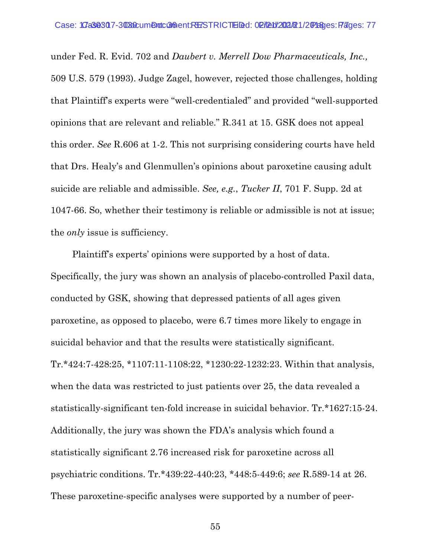under Fed. R. Evid. 702 and *Daubert v. Merrell Dow Pharmaceuticals, Inc.,* 509 U.S. 579 (1993). Judge Zagel, however, rejected those challenges, holding that Plaintiff's experts were "well-credentialed" and provided "well-supported opinions that are relevant and reliable." R.341 at 15. GSK does not appeal this order. *See* R.606 at 1-2. This not surprising considering courts have held that Drs. Healy's and Glenmullen's opinions about paroxetine causing adult suicide are reliable and admissible. *See, e.g.*, *Tucker II*, 701 F. Supp. 2d at 1047-66. So, whether their testimony is reliable or admissible is not at issue; the *only* issue is sufficiency.

Plaintiff's experts' opinions were supported by a host of data. Specifically, the jury was shown an analysis of placebo-controlled Paxil data, conducted by GSK, showing that depressed patients of all ages given paroxetine, as opposed to placebo, were 6.7 times more likely to engage in suicidal behavior and that the results were statistically significant. Tr.\*424:7-428:25, \*1107:11-1108:22, \*1230:22-1232:23. Within that analysis, when the data was restricted to just patients over 25, the data revealed a statistically-significant ten-fold increase in suicidal behavior. Tr.\*1627:15-24. Additionally, the jury was shown the FDA's analysis which found a statistically significant 2.76 increased risk for paroxetine across all psychiatric conditions. Tr.\*439:22-440:23, \*448:5-449:6; *see* R.589-14 at 26. These paroxetine-specific analyses were supported by a number of peer-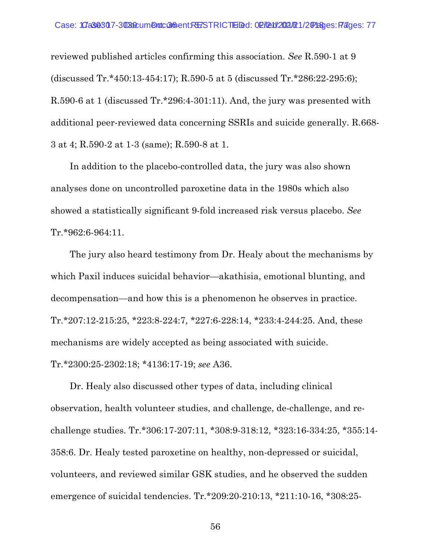reviewed published articles confirming this association. *See* R.590-1 at 9 (discussed Tr.\*450:13-454:17); R.590-5 at 5 (discussed Tr.\*286:22-295:6); R.590-6 at 1 (discussed Tr.\*296:4-301:11). And, the jury was presented with additional peer-reviewed data concerning SSRIs and suicide generally. R.668- 3 at 4; R.590-2 at 1-3 (same); R.590-8 at 1.

In addition to the placebo-controlled data, the jury was also shown analyses done on uncontrolled paroxetine data in the 1980s which also showed a statistically significant 9-fold increased risk versus placebo. *See* Tr.\*962:6-964:11.

The jury also heard testimony from Dr. Healy about the mechanisms by which Paxil induces suicidal behavior—akathisia, emotional blunting, and decompensation—and how this is a phenomenon he observes in practice. Tr.\*207:12-215:25, \*223:8-224:7, \*227:6-228:14, \*233:4-244:25. And, these mechanisms are widely accepted as being associated with suicide. Tr.\*2300:25-2302:18; \*4136:17-19; *see* A36.

Dr. Healy also discussed other types of data, including clinical observation, health volunteer studies, and challenge, de-challenge, and rechallenge studies. Tr.\*306:17-207:11, \*308:9-318:12, \*323:16-334:25, \*355:14- 358:6. Dr. Healy tested paroxetine on healthy, non-depressed or suicidal, volunteers, and reviewed similar GSK studies, and he observed the sudden emergence of suicidal tendencies. Tr.\*209:20-210:13, \*211:10-16, \*308:25-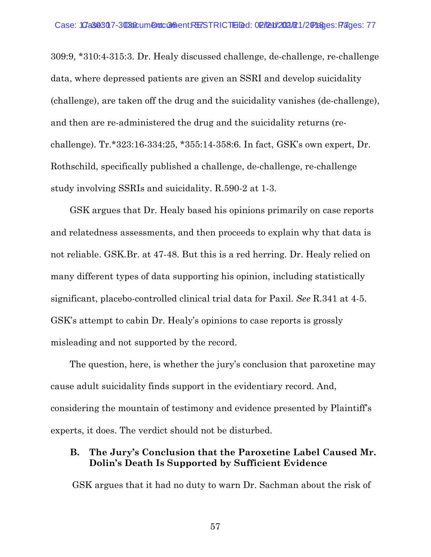309:9, \*310:4-315:3. Dr. Healy discussed challenge, de-challenge, re-challenge data, where depressed patients are given an SSRI and develop suicidality (challenge), are taken off the drug and the suicidality vanishes (de-challenge), and then are re-administered the drug and the suicidality returns (rechallenge). Tr.\*323:16-334:25, \*355:14-358:6. In fact, GSK's own expert, Dr. Rothschild, specifically published a challenge, de-challenge, re-challenge study involving SSRIs and suicidality. R.590-2 at 1-3.

GSK argues that Dr. Healy based his opinions primarily on case reports and relatedness assessments, and then proceeds to explain why that data is not reliable. GSK.Br. at 47-48. But this is a red herring. Dr. Healy relied on many different types of data supporting his opinion, including statistically significant, placebo-controlled clinical trial data for Paxil. *See* R.341 at 4-5. GSK's attempt to cabin Dr. Healy's opinions to case reports is grossly misleading and not supported by the record.

The question, here, is whether the jury's conclusion that paroxetine may cause adult suicidality finds support in the evidentiary record. And, considering the mountain of testimony and evidence presented by Plaintiff's experts, it does. The verdict should not be disturbed.

#### **B. The Jury's Conclusion that the Paroxetine Label Caused Mr. Dolin's Death Is Supported by Sufficient Evidence**

GSK argues that it had no duty to warn Dr. Sachman about the risk of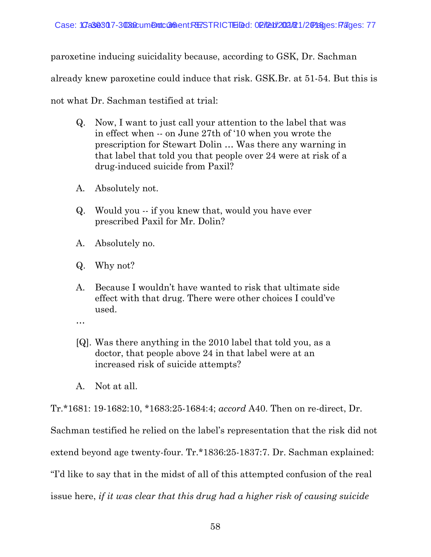paroxetine inducing suicidality because, according to GSK, Dr. Sachman

already knew paroxetine could induce that risk. GSK.Br. at 51-54. But this is

not what Dr. Sachman testified at trial:

- Q. Now, I want to just call your attention to the label that was in effect when -- on June 27th of '10 when you wrote the prescription for Stewart Dolin … Was there any warning in that label that told you that people over 24 were at risk of a drug-induced suicide from Paxil?
- A. Absolutely not.
- Q. Would you -- if you knew that, would you have ever prescribed Paxil for Mr. Dolin?
- A. Absolutely no.
- Q. Why not?
- A. Because I wouldn't have wanted to risk that ultimate side effect with that drug. There were other choices I could've used.
- …
- [Q]. Was there anything in the 2010 label that told you, as a doctor, that people above 24 in that label were at an increased risk of suicide attempts?
- A. Not at all.

Tr.\*1681: 19-1682:10, \*1683:25-1684:4; *accord* A40. Then on re-direct, Dr.

Sachman testified he relied on the label's representation that the risk did not

extend beyond age twenty-four. Tr.\*1836:25-1837:7. Dr. Sachman explained:

"I'd like to say that in the midst of all of this attempted confusion of the real

issue here, *if it was clear that this drug had a higher risk of causing suicide*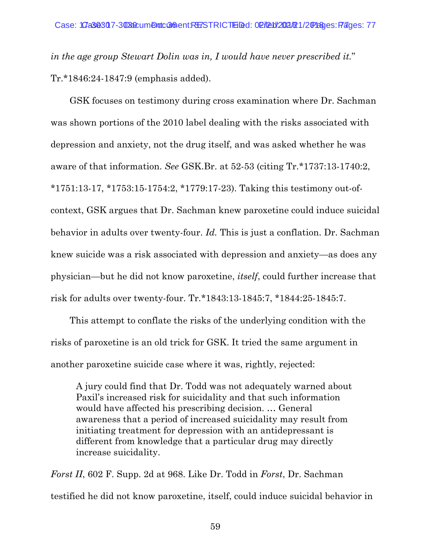*in the age group Stewart Dolin was in, I would have never prescribed it.*" Tr.\*1846:24-1847:9 (emphasis added).

GSK focuses on testimony during cross examination where Dr. Sachman was shown portions of the 2010 label dealing with the risks associated with depression and anxiety, not the drug itself, and was asked whether he was aware of that information. *See* GSK.Br. at 52-53 (citing Tr.\*1737:13-1740:2, \*1751:13-17, \*1753:15-1754:2, \*1779:17-23). Taking this testimony out-ofcontext, GSK argues that Dr. Sachman knew paroxetine could induce suicidal behavior in adults over twenty-four. *Id.* This is just a conflation. Dr. Sachman knew suicide was a risk associated with depression and anxiety—as does any physician—but he did not know paroxetine, *itself*, could further increase that risk for adults over twenty-four. Tr.\*1843:13-1845:7, \*1844:25-1845:7.

This attempt to conflate the risks of the underlying condition with the risks of paroxetine is an old trick for GSK. It tried the same argument in another paroxetine suicide case where it was, rightly, rejected:

A jury could find that Dr. Todd was not adequately warned about Paxil's increased risk for suicidality and that such information would have affected his prescribing decision. … General awareness that a period of increased suicidality may result from initiating treatment for depression with an antidepressant is different from knowledge that a particular drug may directly increase suicidality.

*Forst II*, 602 F. Supp. 2d at 968. Like Dr. Todd in *Forst*, Dr. Sachman testified he did not know paroxetine, itself, could induce suicidal behavior in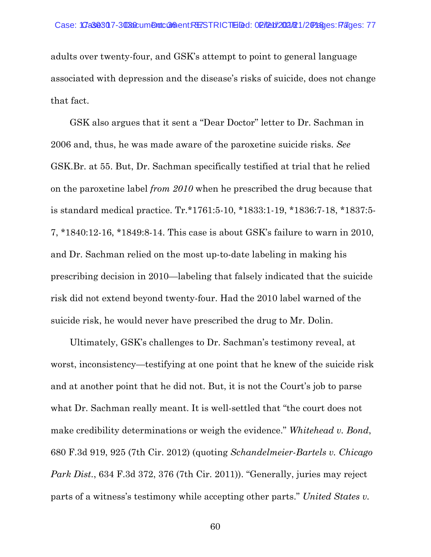adults over twenty-four, and GSK's attempt to point to general language associated with depression and the disease's risks of suicide, does not change that fact.

GSK also argues that it sent a "Dear Doctor" letter to Dr. Sachman in 2006 and, thus, he was made aware of the paroxetine suicide risks. *See* GSK.Br. at 55. But, Dr. Sachman specifically testified at trial that he relied on the paroxetine label *from 2010* when he prescribed the drug because that is standard medical practice. Tr.\*1761:5-10, \*1833:1-19, \*1836:7-18, \*1837:5- 7, \*1840:12-16, \*1849:8-14. This case is about GSK's failure to warn in 2010, and Dr. Sachman relied on the most up-to-date labeling in making his prescribing decision in 2010—labeling that falsely indicated that the suicide risk did not extend beyond twenty-four. Had the 2010 label warned of the suicide risk, he would never have prescribed the drug to Mr. Dolin.

Ultimately, GSK's challenges to Dr. Sachman's testimony reveal, at worst, inconsistency—testifying at one point that he knew of the suicide risk and at another point that he did not. But, it is not the Court's job to parse what Dr. Sachman really meant. It is well-settled that "the court does not make credibility determinations or weigh the evidence." *Whitehead v. Bond*, 680 F.3d 919, 925 (7th Cir. 2012) (quoting *Schandelmeier-Bartels v. Chicago Park Dist.*, 634 F.3d 372, 376 (7th Cir. 2011)). "Generally, juries may reject parts of a witness's testimony while accepting other parts." *United States v.*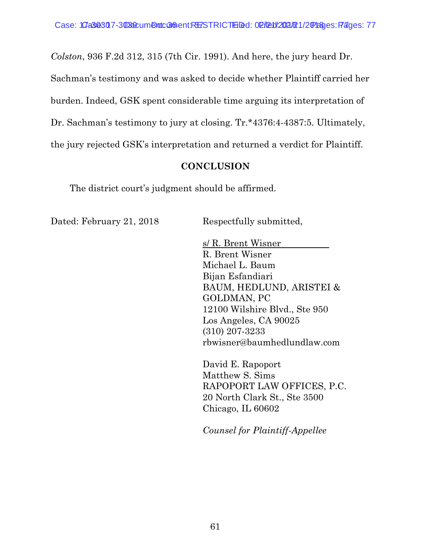*Colston*, 936 F.2d 312, 315 (7th Cir. 1991). And here, the jury heard Dr.

Sachman's testimony and was asked to decide whether Plaintiff carried her

burden. Indeed, GSK spent considerable time arguing its interpretation of

Dr. Sachman's testimony to jury at closing. Tr.\*4376:4-4387:5. Ultimately,

the jury rejected GSK's interpretation and returned a verdict for Plaintiff.

## **CONCLUSION**

The district court's judgment should be affirmed.

Dated: February 21, 2018 Respectfully submitted,

s/ R. Brent Wisner R. Brent Wisner Michael L. Baum Bijan Esfandiari BAUM, HEDLUND, ARISTEI & GOLDMAN, PC 12100 Wilshire Blvd., Ste 950 Los Angeles, CA 90025 (310) 207-3233 rbwisner@baumhedlundlaw.com

David E. Rapoport Matthew S. Sims RAPOPORT LAW OFFICES, P.C. 20 North Clark St., Ste 3500 Chicago, IL 60602

*Counsel for Plaintiff-Appellee*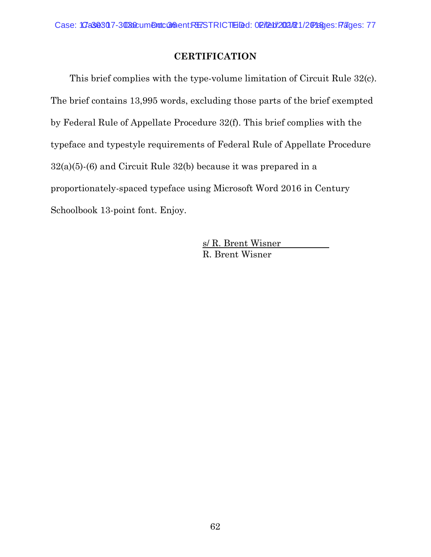## **CERTIFICATION**

This brief complies with the type-volume limitation of Circuit Rule 32(c). The brief contains 13,995 words, excluding those parts of the brief exempted by Federal Rule of Appellate Procedure 32(f). This brief complies with the typeface and typestyle requirements of Federal Rule of Appellate Procedure 32(a)(5)-(6) and Circuit Rule 32(b) because it was prepared in a proportionately-spaced typeface using Microsoft Word 2016 in Century Schoolbook 13-point font. Enjoy.

> s/ R. Brent Wisner R. Brent Wisner